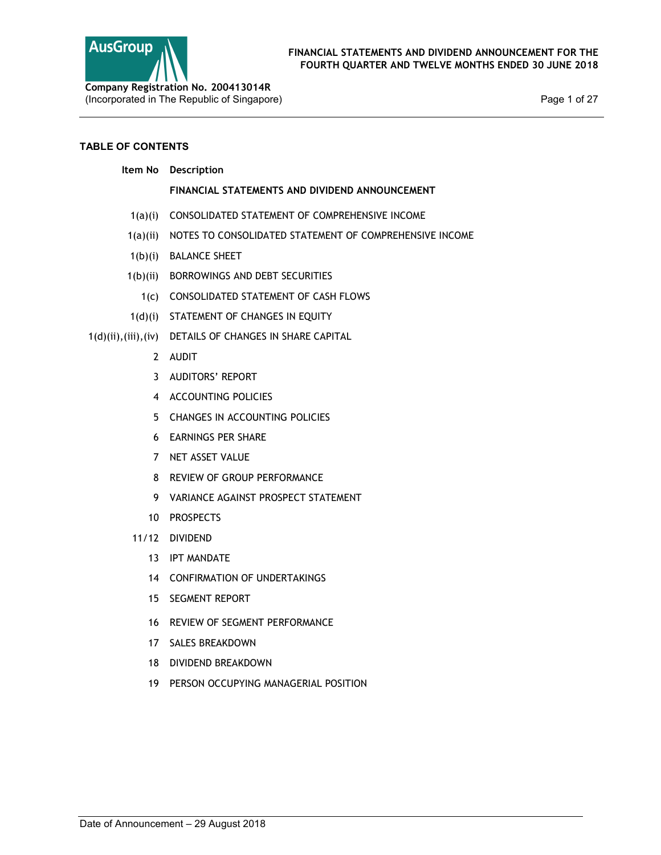

Page 1 of 27

## TABLE OF CONTENTS

## Item No Description

## FINANCIAL STATEMENTS AND DIVIDEND ANNOUNCEMENT

- 1(a)(i) CONSOLIDATED STATEMENT OF COMPREHENSIVE INCOME
- 1(a)(ii) NOTES TO CONSOLIDATED STATEMENT OF COMPREHENSIVE INCOME
- 1(b)(i) BALANCE SHEET
- 1(b)(ii) BORROWINGS AND DEBT SECURITIES
	- 1(c) CONSOLIDATED STATEMENT OF CASH FLOWS
- 1(d)(i) STATEMENT OF CHANGES IN EQUITY
- 1(d)(ii),(iii),(iv) DETAILS OF CHANGES IN SHARE CAPITAL
	- 2 AUDIT
	- 3 AUDITORS' REPORT
	- 4 ACCOUNTING POLICIES
	- 5 CHANGES IN ACCOUNTING POLICIES
	- 6 EARNINGS PER SHARE
	- 7 NET ASSET VALUE
	- 8 REVIEW OF GROUP PERFORMANCE
	- 9 VARIANCE AGAINST PROSPECT STATEMENT
	- 10 PROSPECTS
	- 11/12 DIVIDEND
		- 13 IPT MANDATE
		- 14 CONFIRMATION OF UNDERTAKINGS
		- 15 SEGMENT REPORT
		- 16 REVIEW OF SEGMENT PERFORMANCE
		- 17 SALES BREAKDOWN
		- 18 DIVIDEND BREAKDOWN
		- 19 PERSON OCCUPYING MANAGERIAL POSITION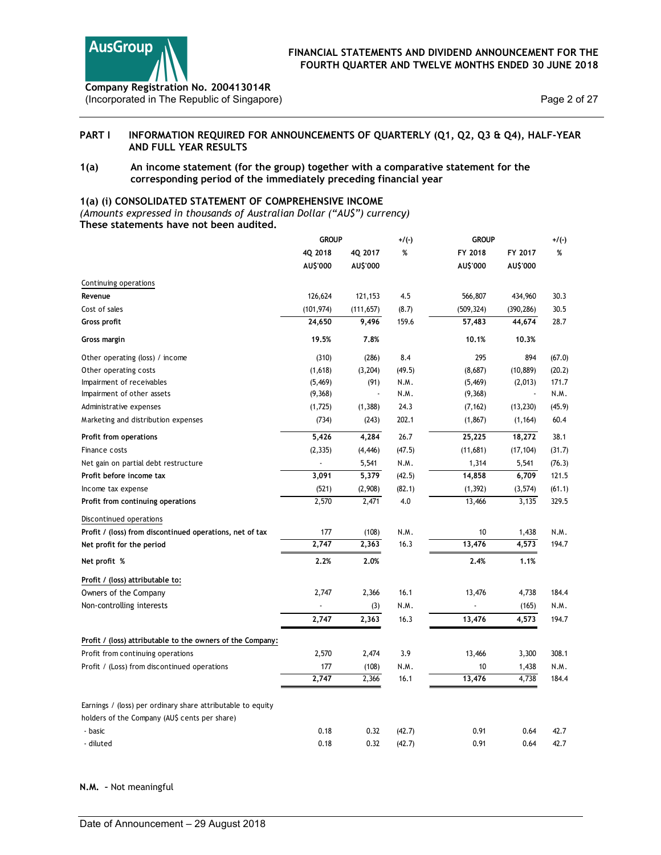

## PART I INFORMATION REQUIRED FOR ANNOUNCEMENTS OF QUARTERLY (Q1, Q2, Q3 & Q4), HALF-YEAR AND FULL YEAR RESULTS

## 1(a) An income statement (for the group) together with a comparative statement for the corresponding period of the immediately preceding financial year

## 1(a) (i) CONSOLIDATED STATEMENT OF COMPREHENSIVE INCOME

|                        | <b>AusGroup</b><br>Company Registration No. 200413014R                                                                                                                        |              |                          |         | FINANCIAL STATEMENTS AND DIVIDEND ANNOUNCEMENT FOR THE<br>FOURTH QUARTER AND TWELVE MONTHS ENDED 30 JUNE 2018 |                          |              |
|------------------------|-------------------------------------------------------------------------------------------------------------------------------------------------------------------------------|--------------|--------------------------|---------|---------------------------------------------------------------------------------------------------------------|--------------------------|--------------|
|                        | (Incorporated in The Republic of Singapore)                                                                                                                                   |              |                          |         |                                                                                                               |                          | Page 2 of 27 |
| PART I                 | INFORMATION REQUIRED FOR ANNOUNCEMENTS OF QUARTERLY (Q1, Q2, Q3 & Q4), HALF-YEAR<br>AND FULL YEAR RESULTS                                                                     |              |                          |         |                                                                                                               |                          |              |
| 1(a)                   | An income statement (for the group) together with a comparative statement for the<br>corresponding period of the immediately preceding financial year                         |              |                          |         |                                                                                                               |                          |              |
|                        | 1(a) (i) CONSOLIDATED STATEMENT OF COMPREHENSIVE INCOME<br>(Amounts expressed in thousands of Australian Dollar ("AU\$") currency)<br>These statements have not been audited. |              |                          |         |                                                                                                               |                          |              |
|                        |                                                                                                                                                                               | <b>GROUP</b> |                          | $+/(-)$ | <b>GROUP</b>                                                                                                  |                          | $+/(-)$      |
|                        |                                                                                                                                                                               | 4Q 2018      | 4Q 2017                  | %       | FY 2018                                                                                                       | FY 2017                  | %            |
|                        |                                                                                                                                                                               | AU\$'000     | AU\$'000                 |         | AU\$'000                                                                                                      | AU\$'000                 |              |
| Continuing operations  |                                                                                                                                                                               |              |                          |         |                                                                                                               |                          |              |
| Revenue                |                                                                                                                                                                               | 126,624      | 121,153                  | 4.5     | 566,807                                                                                                       | 434,960                  | 30.3         |
| Cost of sales          |                                                                                                                                                                               | (101, 974)   | (111, 657)               | (8.7)   | (509, 324)                                                                                                    | (390, 286)               | 30.5         |
| Gross profit           |                                                                                                                                                                               | 24,650       | 9,496                    | 159.6   | 57,483                                                                                                        | 44,674                   | 28.7         |
| Gross margin           |                                                                                                                                                                               | 19.5%        | 7.8%                     |         | 10.1%                                                                                                         | 10.3%                    |              |
|                        | Other operating (loss) / income                                                                                                                                               | (310)        | (286)                    | 8.4     | 295                                                                                                           | 894                      | (67.0)       |
| Other operating costs  |                                                                                                                                                                               | (1,618)      | (3,204)                  | (49.5)  | (8,687)                                                                                                       | (10, 889)                | (20.2)       |
|                        | Impairment of receivables                                                                                                                                                     | (5, 469)     | (91)                     | N.M.    | (5, 469)                                                                                                      | (2,013)                  | 171.7        |
|                        | Impairment of other assets                                                                                                                                                    | (9,368)      | $\overline{\phantom{a}}$ | N.M.    | (9,368)                                                                                                       | $\overline{\phantom{a}}$ | N.M.         |
|                        | Administrative expenses                                                                                                                                                       | (1,725)      | (1, 388)                 | 24.3    | (7, 162)                                                                                                      | (13, 230)                | (45.9)       |
|                        | Marketing and distribution expenses                                                                                                                                           | (734)        | (243)                    | 202.1   | (1,867)                                                                                                       | (1, 164)                 | 60.4         |
| Profit from operations |                                                                                                                                                                               | 5,426        | 4,284                    | 26.7    | 25,225                                                                                                        | 18,272                   | 38.1         |
| Finance costs          |                                                                                                                                                                               | (2, 335)     | (4, 446)                 | (47.5)  | (11,681)                                                                                                      | (17, 104)                | (31.7)       |
|                        | Net gain on partial debt restructure                                                                                                                                          |              | 5,541                    | N.M.    | 1,314                                                                                                         | 5,541                    | (76.3)       |
|                        | Profit before income tax                                                                                                                                                      | 3,091        | 5,379                    | (42.5)  | 14,858                                                                                                        | 6,709                    | 121.5        |
| Income tax expense     |                                                                                                                                                                               | (521)        | (2,908)                  | (82.1)  | (1, 392)                                                                                                      | (3, 574)                 | (61.1)       |
|                        | Profit from continuing operations                                                                                                                                             | 2,570        | 2,471                    | $4.0\,$ | 13,466                                                                                                        | 3,135                    | 329.5        |
|                        | Discontinued operations                                                                                                                                                       |              |                          |         |                                                                                                               |                          |              |
|                        | Profit / (loss) from discontinued operations, net of tax                                                                                                                      | 177          | (108)                    | N.M.    | 10                                                                                                            | 1,438                    | N.M.         |
|                        | Net profit for the period                                                                                                                                                     | 2,747        | 2,363                    | 16.3    | 13,476                                                                                                        | 4,573                    | 194.7        |
| Net profit %           |                                                                                                                                                                               | 2.2%         | 2.0%                     |         | 2.4%                                                                                                          | 1.1%                     |              |
|                        | Profit / (loss) attributable to:                                                                                                                                              |              |                          |         |                                                                                                               |                          |              |
|                        | Owners of the Company                                                                                                                                                         | 2,747        | 2,366                    | 16.1    | 13,476                                                                                                        | 4,738                    | 184.4        |
|                        | Non-controlling interests                                                                                                                                                     |              | (3)                      | N.M.    |                                                                                                               | (165)                    | N.M.         |
|                        |                                                                                                                                                                               | 2,747        | 2,363                    | 16.3    | 13,476                                                                                                        | 4,573                    | 194.7        |
|                        | Profit / (loss) attributable to the owners of the Company:                                                                                                                    |              |                          |         |                                                                                                               |                          |              |
|                        | Profit from continuing operations                                                                                                                                             | 2,570        | 2,474                    | 3.9     | 13,466                                                                                                        | 3,300                    | 308.1        |
|                        | Profit / (Loss) from discontinued operations                                                                                                                                  | 177          | (108)                    | N.M.    | 10                                                                                                            | 1,438                    | N.M.         |
|                        |                                                                                                                                                                               | 2,747        | 2,366                    | 16.1    | 13,476                                                                                                        | 4,738                    | 184.4        |
|                        |                                                                                                                                                                               |              |                          |         |                                                                                                               |                          |              |
|                        | Earnings / (loss) per ordinary share attributable to equity<br>holders of the Company (AU\$ cents per share)                                                                  |              |                          |         |                                                                                                               |                          |              |
| - basic                |                                                                                                                                                                               | 0.18         | 0.32                     | (42.7)  | 0.91                                                                                                          | 0.64                     | 42.7         |
| - diluted              |                                                                                                                                                                               | 0.18         | 0.32                     | (42.7)  | 0.91                                                                                                          | 0.64                     | 42.7         |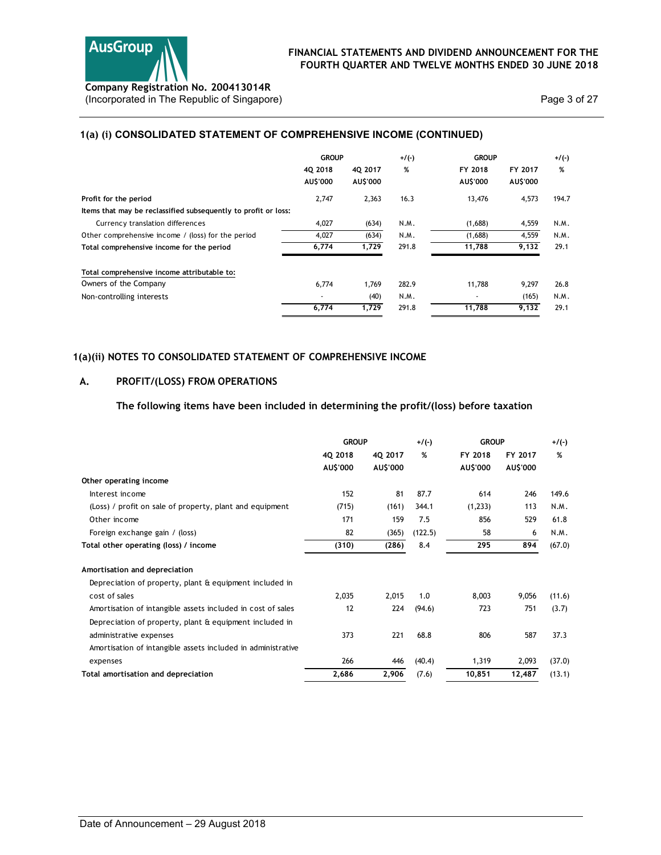

## 1(a) (i) CONSOLIDATED STATEMENT OF COMPREHENSIVE INCOME (CONTINUED)

|                                                                                         |                         |               |              | FINANCIAL STATEMENTS AND DIVIDEND ANNOUNCEMENT FOR THE |                     |              |
|-----------------------------------------------------------------------------------------|-------------------------|---------------|--------------|--------------------------------------------------------|---------------------|--------------|
| Company Registration No. 200413014R<br>(Incorporated in The Republic of Singapore)      |                         |               |              | FOURTH QUARTER AND TWELVE MONTHS ENDED 30 JUNE 2018    |                     | Page 3 of 27 |
| 1(a) (i) CONSOLIDATED STATEMENT OF COMPREHENSIVE INCOME (CONTINUED)                     |                         |               |              |                                                        |                     |              |
|                                                                                         | <b>GROUP</b><br>4Q 2018 | 4Q 2017       | $+/(-)$<br>% | <b>GROUP</b><br>FY 2018<br>AU\$'000                    | FY 2017<br>AU\$'000 | $+/(-)$<br>% |
|                                                                                         |                         |               |              |                                                        |                     |              |
|                                                                                         | AU\$'000                | AU\$'000      |              |                                                        |                     |              |
| Profit for the period<br>Items that may be reclassified subsequently to profit or loss: | 2,747                   | 2,363         | 16.3         | 13,476                                                 | 4,573               | 194.7        |
| Currency translation differences                                                        | 4,027                   | (634)         | N.M.         | (1,688)                                                | 4,559               | N.M.         |
| Other comprehensive income / (loss) for the period                                      | 4,027                   | (634)         | N.M.         | (1,688)                                                | 4,559               | N.M.         |
| Total comprehensive income for the period                                               | 6,774                   | 1,729         | 291.8        | 11,788                                                 | 9,132               | 29.1         |
|                                                                                         |                         |               |              |                                                        |                     |              |
| Total comprehensive income attributable to:<br>Owners of the Company                    | 6,774                   | 1,769         | 282.9        | 11,788                                                 | 9,297               | 26.8         |
| Non-controlling interests                                                               | 6,774                   | (40)<br>1,729 | N.M.         | $\sim$<br>11,788                                       | (165)               | N.M.         |

## 1(a)(ii) NOTES TO CONSOLIDATED STATEMENT OF COMPREHENSIVE INCOME

## A. PROFIT/(LOSS) FROM OPERATIONS

## The following items have been included in determining the profit/(loss) before taxation

|                                                              | <b>GROUP</b> |          | $+/(-)$ | <b>GROUP</b> |          | $+$ /(-) |
|--------------------------------------------------------------|--------------|----------|---------|--------------|----------|----------|
|                                                              | 4Q 2018      | 4Q 2017  | %       | FY 2018      | FY 2017  | %        |
|                                                              | AU\$'000     | AU\$'000 |         | AU\$'000     | AU\$'000 |          |
| Other operating income                                       |              |          |         |              |          |          |
| Interest income                                              | 152          | 81       | 87.7    | 614          | 246      | 149.6    |
| (Loss) / profit on sale of property, plant and equipment     | (715)        | (161)    | 344.1   | (1,233)      | 113      | N.M.     |
| Other income                                                 | 171          | 159      | 7.5     | 856          | 529      | 61.8     |
| Foreign exchange gain / (loss)                               | 82           | (365)    | (122.5) | 58           | 6        | N.M.     |
| Total other operating (loss) / income                        | (310)        | (286)    | 8.4     | 295          | 894      | (67.0)   |
| Amortisation and depreciation                                |              |          |         |              |          |          |
| Depreciation of property, plant & equipment included in      |              |          |         |              |          |          |
| cost of sales                                                | 2,035        | 2,015    | 1.0     | 8,003        | 9,056    | (11.6)   |
| Amortisation of intangible assets included in cost of sales  | 12           | 224      | (94.6)  | 723          | 751      | (3.7)    |
| Depreciation of property, plant & equipment included in      |              |          |         |              |          |          |
| administrative expenses                                      | 373          | 221      | 68.8    | 806          | 587      | 37.3     |
| Amortisation of intangible assets included in administrative |              |          |         |              |          |          |
| expenses                                                     | 266          | 446      | (40.4)  | 1,319        | 2,093    | (37.0)   |
| Total amortisation and depreciation                          | 2,686        | 2,906    | (7.6)   | 10,851       | 12,487   | (13.1)   |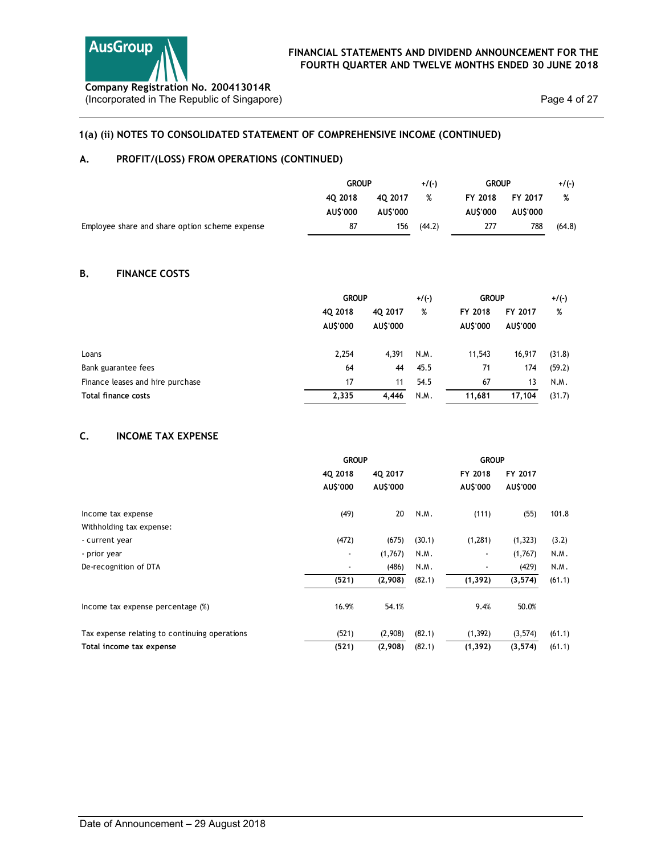# 1(a) (ii) NOTES TO CONSOLIDATED STATEMENT OF COMPREHENSIVE INCOME (CONTINUED)

# A. PROFIT/(LOSS) FROM OPERATIONS (CONTINUED)

| <b>AusGroup</b>                                                                    | FINANCIAL STATEMENTS AND DIVIDEND ANNOUNCEMENT FOR THE<br>FOURTH QUARTER AND TWELVE MONTHS ENDED 30 JUNE 2018 |          |         |              |          |              |
|------------------------------------------------------------------------------------|---------------------------------------------------------------------------------------------------------------|----------|---------|--------------|----------|--------------|
|                                                                                    |                                                                                                               |          |         |              |          |              |
|                                                                                    |                                                                                                               |          |         |              |          |              |
|                                                                                    |                                                                                                               |          |         |              |          |              |
|                                                                                    |                                                                                                               |          |         |              |          |              |
|                                                                                    |                                                                                                               |          |         |              |          |              |
|                                                                                    |                                                                                                               |          |         |              |          |              |
| Company Registration No. 200413014R<br>(Incorporated in The Republic of Singapore) |                                                                                                               |          |         |              |          | Page 4 of 27 |
|                                                                                    |                                                                                                               |          |         |              |          |              |
| 1(a) (ii) NOTES TO CONSOLIDATED STATEMENT OF COMPREHENSIVE INCOME (CONTINUED)      |                                                                                                               |          |         |              |          |              |
|                                                                                    |                                                                                                               |          |         |              |          |              |
| А.<br>PROFIT/(LOSS) FROM OPERATIONS (CONTINUED)                                    |                                                                                                               |          |         |              |          |              |
|                                                                                    | <b>GROUP</b>                                                                                                  |          | $+/(-)$ | <b>GROUP</b> |          | $+/(-)$      |
|                                                                                    | 4Q 2018                                                                                                       | 4Q 2017  | %       | FY 2018      | FY 2017  | %            |
|                                                                                    | AU\$'000                                                                                                      | AU\$'000 |         | AU\$'000     | AU\$'000 |              |
|                                                                                    | 87                                                                                                            | 156      | (44.2)  | 277          | 788      | (64.8)       |
| Employee share and share option scheme expense                                     |                                                                                                               |          |         |              |          |              |
|                                                                                    |                                                                                                               |          |         |              |          |              |
| Β.<br><b>FINANCE COSTS</b>                                                         |                                                                                                               |          |         |              |          |              |

# B. FINANCE COSTS

| <b>AusGroup</b><br>Company Registration No. 200413014R<br>(Incorporated in The Republic of Singapore) | FINANCIAL STATEMENTS AND DIVIDEND ANNOUNCEMENT FOR THE<br>FOURTH QUARTER AND TWELVE MONTHS ENDED 30 JUNE 2018 |                     |                |                     |                     | Page 4 of 27  |
|-------------------------------------------------------------------------------------------------------|---------------------------------------------------------------------------------------------------------------|---------------------|----------------|---------------------|---------------------|---------------|
| 1(a) (ii) NOTES TO CONSOLIDATED STATEMENT OF COMPREHENSIVE INCOME (CONTINUED)                         |                                                                                                               |                     |                |                     |                     |               |
| А.<br>PROFIT/(LOSS) FROM OPERATIONS (CONTINUED)                                                       |                                                                                                               |                     |                |                     |                     |               |
|                                                                                                       | <b>GROUP</b>                                                                                                  |                     | $+/(-)$        | <b>GROUP</b>        |                     | $+/(-)$       |
|                                                                                                       | 4Q 2018<br>AU\$'000                                                                                           | 4Q 2017<br>AU\$'000 | %              | FY 2018<br>AU\$'000 | FY 2017<br>AU\$'000 | %             |
| Employee share and share option scheme expense                                                        | 87                                                                                                            | 156                 | (44.2)         | 277                 | 788                 | (64.8)        |
| В.<br><b>FINANCE COSTS</b>                                                                            |                                                                                                               |                     |                |                     |                     |               |
|                                                                                                       | <b>GROUP</b>                                                                                                  |                     | $+/(-)$        | <b>GROUP</b>        |                     | $+/(-)$       |
|                                                                                                       | 4Q 2018<br>AU\$'000                                                                                           | 4Q 2017<br>AU\$'000 | %              | FY 2018<br>AU\$'000 | FY 2017<br>AU\$'000 | %             |
| Loans                                                                                                 | 2,254                                                                                                         | 4,391               | N.M.           | 11,543              | 16,917              | (31.8)        |
| Bank guarantee fees                                                                                   | 64                                                                                                            | 44                  | 45.5           | 71                  | 174                 | (59.2)        |
| Finance leases and hire purchase                                                                      | 17                                                                                                            | 11                  | 54.5           | 67                  | 13                  | N.M.          |
| Total finance costs                                                                                   | 2,335                                                                                                         | 4,446               | N.M.           | 11,681              | 17,104              | (31.7)        |
| C.<br><b>INCOME TAX EXPENSE</b>                                                                       |                                                                                                               |                     |                |                     |                     |               |
|                                                                                                       | <b>GROUP</b>                                                                                                  |                     |                | <b>GROUP</b>        |                     |               |
|                                                                                                       | 4Q 2018<br>AU\$'000                                                                                           | 4Q 2017<br>AU\$'000 |                | FY 2018<br>AU\$'000 | FY 2017<br>AU\$'000 |               |
| Income tax expense                                                                                    | (49)                                                                                                          | 20                  | N.M.           | (111)               | (55)                | 101.8         |
| Withholding tax expense:                                                                              |                                                                                                               |                     |                |                     |                     |               |
| - current year<br>- prior year                                                                        | (472)                                                                                                         | (675)<br>(1,767)    | (30.1)<br>N.M. | (1, 281)            | (1, 323)<br>(1,767) | (3.2)<br>N.M. |
|                                                                                                       |                                                                                                               |                     |                |                     |                     |               |

# C. INCOME TAX EXPENSE

| Β.<br><b>FINANCE COSTS</b>                    |                          |                    |                  |                      |                    |                  |
|-----------------------------------------------|--------------------------|--------------------|------------------|----------------------|--------------------|------------------|
|                                               | <b>GROUP</b>             |                    | $+/(-)$          | <b>GROUP</b>         |                    | $+/(-)$          |
|                                               | 4Q 2018                  | 4Q 2017            | %                | FY 2018              | FY 2017            | %                |
|                                               | AU\$'000                 | AU\$'000           |                  | AU\$'000             | AU\$'000           |                  |
| Loans                                         | 2,254                    | 4,391              | N.M.             | 11,543               | 16,917             | (31.8)           |
| Bank guarantee fees                           | 64                       | 44                 | 45.5             | 71                   | 174                | (59.2)           |
| Finance leases and hire purchase              | 17                       | 11                 | 54.5             | 67                   | 13                 | N.M.             |
| Total finance costs                           | 2,335                    | 4,446              | N.M.             | 11,681               | 17,104             | (31.7)           |
| C.<br><b>INCOME TAX EXPENSE</b>               |                          |                    |                  |                      |                    |                  |
|                                               | <b>GROUP</b>             |                    |                  | <b>GROUP</b>         |                    |                  |
|                                               | 4Q 2018                  | 4Q 2017            |                  | FY 2018              | FY 2017            |                  |
|                                               | AU\$'000                 | AU\$'000           |                  | AU\$'000             | AU\$'000           |                  |
| Income tax expense                            | (49)                     | 20                 | N.M.             | (111)                | (55)               | 101.8            |
| Withholding tax expense:                      |                          |                    |                  |                      |                    |                  |
| - current year                                | (472)                    | (675)              | (30.1)           | (1, 281)             | (1, 323)           | (3.2)            |
| - prior year                                  | $\overline{\phantom{a}}$ | (1,767)            | N.M.             | $\sim$               | (1,767)            | N.M.             |
| De-recognition of DTA                         | $\blacksquare$           | (486)              | N.M.             | $\blacksquare$       | (429)              | N.M.             |
|                                               | (521)                    | (2,908)            | (82.1)           | (1, 392)             | (3, 574)           | (61.1)           |
|                                               |                          |                    |                  | 9.4%                 | 50.0%              |                  |
| Income tax expense percentage (%)             | 16.9%                    | 54.1%              |                  |                      |                    |                  |
| Tax expense relating to continuing operations | (521)<br>(521)           | (2,908)<br>(2,908) | (82.1)<br>(82.1) | (1, 392)<br>(1, 392) | (3,574)<br>(3,574) | (61.1)<br>(61.1) |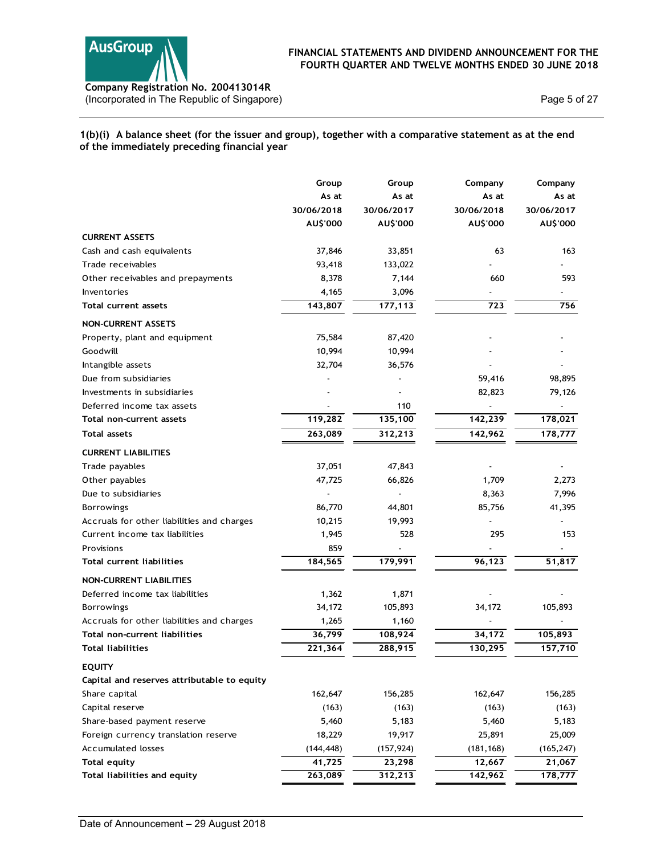

## 1(b)(i) A balance sheet (for the issuer and group), together with a comparative statement as at the end of the immediately preceding financial year

| Company Registration No. 200413014R                                                                                                                    |                          |                          | FINANCIAL STATEMENTS AND DIVIDEND ANNOUNCEMENT FOR THE<br>FOURTH QUARTER AND TWELVE MONTHS ENDED 30 JUNE 2018 |                          |
|--------------------------------------------------------------------------------------------------------------------------------------------------------|--------------------------|--------------------------|---------------------------------------------------------------------------------------------------------------|--------------------------|
| (Incorporated in The Republic of Singapore)                                                                                                            |                          |                          |                                                                                                               | Page 5 of 27             |
| 1(b)(i) A balance sheet (for the issuer and group), together with a comparative statement as at the end<br>of the immediately preceding financial year |                          |                          |                                                                                                               |                          |
|                                                                                                                                                        | Group                    | Group                    | Company                                                                                                       | Company                  |
|                                                                                                                                                        | As at                    | As at                    | As at                                                                                                         | As at                    |
|                                                                                                                                                        | 30/06/2018               | 30/06/2017               | 30/06/2018                                                                                                    | 30/06/2017               |
|                                                                                                                                                        | AU\$'000                 | AU\$'000                 | AU\$'000                                                                                                      | AU\$'000                 |
| <b>CURRENT ASSETS</b>                                                                                                                                  |                          |                          |                                                                                                               |                          |
| Cash and cash equivalents                                                                                                                              | 37,846                   | 33,851                   | 63                                                                                                            | 163                      |
| Trade receivables                                                                                                                                      | 93,418                   | 133,022                  |                                                                                                               |                          |
| Other receivables and prepayments                                                                                                                      | 8,378                    | 7,144                    | 660                                                                                                           | 593                      |
| Inventories                                                                                                                                            | 4,165                    | 3,096                    | $\blacksquare$                                                                                                | $\sim$                   |
| Total current assets                                                                                                                                   | 143,807                  | 177,113                  | 723                                                                                                           | 756                      |
| <b>NON-CURRENT ASSETS</b>                                                                                                                              |                          |                          |                                                                                                               |                          |
| Property, plant and equipment                                                                                                                          | 75,584                   | 87,420                   |                                                                                                               |                          |
| Goodwill                                                                                                                                               | 10,994                   | 10,994                   |                                                                                                               |                          |
| Intangible assets                                                                                                                                      | 32,704                   | 36,576                   |                                                                                                               | $\blacksquare$           |
| Due from subsidiaries                                                                                                                                  | $\overline{\phantom{a}}$ | $\overline{\phantom{a}}$ | 59,416                                                                                                        | 98,895                   |
| Investments in subsidiaries                                                                                                                            |                          | $\overline{\phantom{a}}$ | 82,823                                                                                                        | 79,126                   |
| Deferred income tax assets                                                                                                                             | $\overline{a}$           | 110                      |                                                                                                               |                          |
| Total non-current assets                                                                                                                               | 119,282                  | 135,100                  | 142,239                                                                                                       | 178,021                  |
| <b>Total assets</b>                                                                                                                                    | 263,089                  | 312,213                  | 142,962                                                                                                       | 178,777                  |
| <b>CURRENT LIABILITIES</b>                                                                                                                             |                          |                          |                                                                                                               |                          |
| Trade payables                                                                                                                                         | 37,051                   | 47,843                   | $\overline{\phantom{a}}$                                                                                      | $\overline{\phantom{a}}$ |
| Other payables                                                                                                                                         | 47,725                   | 66,826                   | 1,709                                                                                                         | 2,273                    |
| Due to subsidiaries                                                                                                                                    | $\overline{\phantom{a}}$ |                          | 8,363                                                                                                         | 7,996                    |
| Borrowings                                                                                                                                             | 86,770                   | 44,801                   | 85,756                                                                                                        | 41,395                   |
| Accruals for other liabilities and charges                                                                                                             | 10,215                   | 19,993                   |                                                                                                               | $\blacksquare$           |
| Current income tax liabilities                                                                                                                         | 1,945                    | 528                      | 295                                                                                                           | 153                      |
| Provisions                                                                                                                                             | 859                      |                          |                                                                                                               |                          |
| Total current liabilities                                                                                                                              | 184,565                  | 179,991                  | 96,123                                                                                                        | 51,817                   |
| NON-CURRENT LIABILITIES                                                                                                                                |                          |                          |                                                                                                               |                          |
| Deferred income tax liabilities                                                                                                                        | 1,362                    | 1,871                    |                                                                                                               | $\overline{\phantom{a}}$ |
| Borrowings                                                                                                                                             | 34,172                   | 105,893                  | 34,172                                                                                                        | 105,893                  |
| Accruals for other liabilities and charges                                                                                                             | 1,265                    | 1,160                    |                                                                                                               |                          |
| Total non-current liabilities                                                                                                                          | 36,799                   | 108,924                  | 34,172                                                                                                        | 105,893                  |
| <b>Total liabilities</b>                                                                                                                               | 221,364                  | 288,915                  | 130,295                                                                                                       | 157,710                  |
|                                                                                                                                                        |                          |                          |                                                                                                               |                          |
| <b>EQUITY</b>                                                                                                                                          |                          |                          |                                                                                                               |                          |
| Capital and reserves attributable to equity                                                                                                            |                          |                          |                                                                                                               |                          |
| Share capital                                                                                                                                          | 162,647                  | 156,285                  | 162,647                                                                                                       | 156,285                  |
| Capital reserve                                                                                                                                        | (163)                    | (163)                    | (163)                                                                                                         | (163)                    |
| Share-based payment reserve                                                                                                                            | 5,460                    | 5,183                    | 5,460                                                                                                         | 5,183                    |
| Foreign currency translation reserve                                                                                                                   | 18,229                   | 19,917                   | 25,891                                                                                                        | 25,009                   |
| Accumulated losses                                                                                                                                     | (144, 448)               | (157, 924)               | (181, 168)                                                                                                    | (165, 247)               |
| <b>Total equity</b>                                                                                                                                    | 41,725                   | 23,298                   | 12,667                                                                                                        | 21,067                   |
| Total liabilities and equity                                                                                                                           | 263,089                  | 312,213                  | 142,962                                                                                                       | 178,777                  |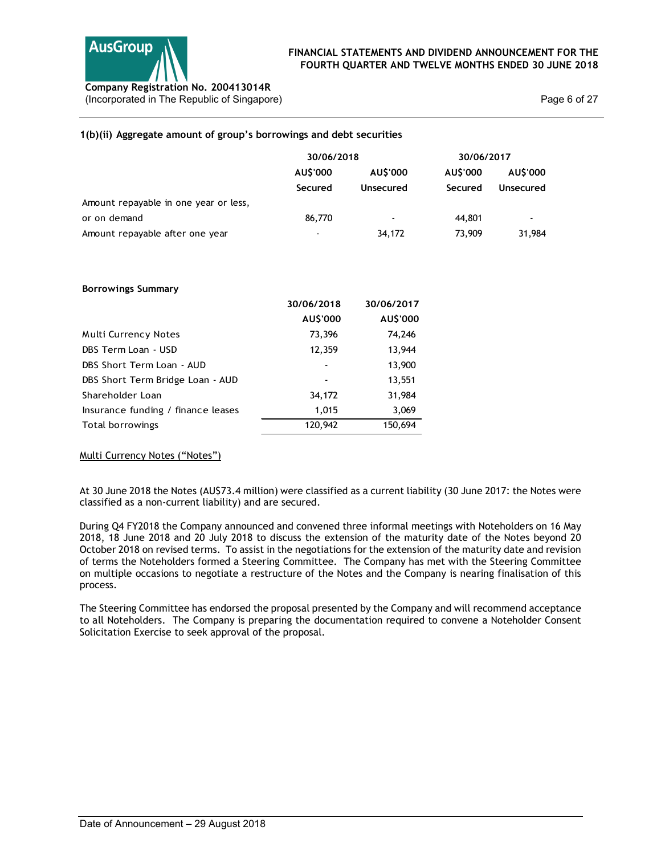

## 1(b)(ii) Aggregate amount of group's borrowings and debt securities

| <b>AusGroup</b>                                                                    |                          |                |            | FINANCIAL STATEMENTS AND DIVIDEND ANNOUNCEMENT FOR THE<br>FOURTH QUARTER AND TWELVE MONTHS ENDED 30 JUNE 2018 |
|------------------------------------------------------------------------------------|--------------------------|----------------|------------|---------------------------------------------------------------------------------------------------------------|
| Company Registration No. 200413014R<br>(Incorporated in The Republic of Singapore) |                          |                |            | Page 6 of 27                                                                                                  |
| 1(b)(ii) Aggregate amount of group's borrowings and debt securities                |                          |                |            |                                                                                                               |
|                                                                                    | 30/06/2018               |                | 30/06/2017 |                                                                                                               |
|                                                                                    | AU\$'000                 | AU\$'000       | AU\$'000   | AU\$'000                                                                                                      |
|                                                                                    | Secured                  | Unsecured      | Secured    | Unsecured                                                                                                     |
| Amount repayable in one year or less,                                              |                          |                |            |                                                                                                               |
| or on demand                                                                       | 86,770                   | $\blacksquare$ | 44,801     | $\sim$                                                                                                        |
| Amount repayable after one year                                                    |                          | 34,172         | 73,909     | 31,984                                                                                                        |
| <b>Borrowings Summary</b>                                                          |                          |                |            |                                                                                                               |
|                                                                                    | 30/06/2018               | 30/06/2017     |            |                                                                                                               |
|                                                                                    | AU\$'000                 | AU\$'000       |            |                                                                                                               |
| Multi Currency Notes                                                               | 73,396                   | 74,246         |            |                                                                                                               |
| DBS Term Loan - USD                                                                | 12,359                   | 13,944         |            |                                                                                                               |
| DBS Short Term Loan - AUD                                                          |                          | 13,900         |            |                                                                                                               |
| DBS Short Term Bridge Loan - AUD                                                   | $\overline{\phantom{a}}$ | 13,551         |            |                                                                                                               |
| Shareholder Loan                                                                   | 34,172                   | 31,984         |            |                                                                                                               |
| Insurance funding / finance leases                                                 | 1,015                    | 3,069          |            |                                                                                                               |

#### Borrowings Summary

| 1(b)(ii) Aggregate amount of group's borrowings and debt securities |            |            |            |                |  |
|---------------------------------------------------------------------|------------|------------|------------|----------------|--|
|                                                                     | 30/06/2018 |            | 30/06/2017 |                |  |
|                                                                     | AU\$'000   | AU\$'000   | AU\$'000   | AU\$'000       |  |
|                                                                     | Secured    | Unsecured  | Secured    | Unsecured      |  |
| Amount repayable in one year or less,                               |            |            |            |                |  |
| or on demand                                                        | 86,770     |            | 44,801     | $\overline{a}$ |  |
| Amount repayable after one year                                     |            | 34,172     | 73,909     | 31,984         |  |
|                                                                     |            |            |            |                |  |
| <b>Borrowings Summary</b>                                           |            |            |            |                |  |
|                                                                     | 30/06/2018 | 30/06/2017 |            |                |  |
|                                                                     | AU\$'000   | AU\$'000   |            |                |  |
| Multi Currency Notes                                                | 73,396     | 74,246     |            |                |  |
| DBS Term Loan - USD                                                 | 12,359     | 13,944     |            |                |  |
| DBS Short Term Loan - AUD                                           |            | 13,900     |            |                |  |
| DBS Short Term Bridge Loan - AUD                                    |            | 13,551     |            |                |  |
| Shareholder Loan                                                    | 34,172     | 31,984     |            |                |  |
| Insurance funding / finance leases                                  | 1,015      | 3,069      |            |                |  |
| Total borrowings                                                    | 120,942    | 150,694    |            |                |  |

## Multi Currency Notes ("Notes")

At 30 June 2018 the Notes (AU\$73.4 million) were classified as a current liability (30 June 2017: the Notes were classified as a non-current liability) and are secured.

During Q4 FY2018 the Company announced and convened three informal meetings with Noteholders on 16 May 2018, 18 June 2018 and 20 July 2018 to discuss the extension of the maturity date of the Notes beyond 20 October 2018 on revised terms. To assist in the negotiations for the extension of the maturity date and revision of terms the Noteholders formed a Steering Committee. The Company has met with the Steering Committee on multiple occasions to negotiate a restructure of the Notes and the Company is nearing finalisation of this process.

The Steering Committee has endorsed the proposal presented by the Company and will recommend acceptance to all Noteholders. The Company is preparing the documentation required to convene a Noteholder Consent Solicitation Exercise to seek approval of the proposal.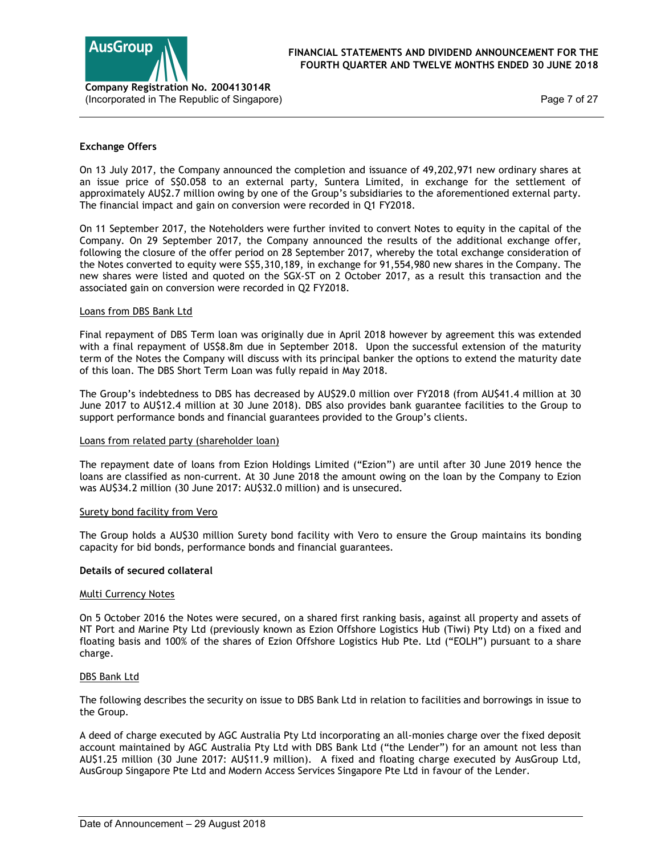

Page 7 of 27

## Exchange Offers

On 13 July 2017, the Company announced the completion and issuance of 49,202,971 new ordinary shares at an issue price of S\$0.058 to an external party, Suntera Limited, in exchange for the settlement of approximately AU\$2.7 million owing by one of the Group's subsidiaries to the aforementioned external party. The financial impact and gain on conversion were recorded in Q1 FY2018.

On 11 September 2017, the Noteholders were further invited to convert Notes to equity in the capital of the Company. On 29 September 2017, the Company announced the results of the additional exchange offer, following the closure of the offer period on 28 September 2017, whereby the total exchange consideration of the Notes converted to equity were S\$5,310,189, in exchange for 91,554,980 new shares in the Company. The new shares were listed and quoted on the SGX-ST on 2 October 2017, as a result this transaction and the associated gain on conversion were recorded in Q2 FY2018.

## Loans from DBS Bank Ltd

Final repayment of DBS Term loan was originally due in April 2018 however by agreement this was extended with a final repayment of US\$8.8m due in September 2018. Upon the successful extension of the maturity term of the Notes the Company will discuss with its principal banker the options to extend the maturity date of this loan. The DBS Short Term Loan was fully repaid in May 2018.

The Group's indebtedness to DBS has decreased by AU\$29.0 million over FY2018 (from AU\$41.4 million at 30 June 2017 to AU\$12.4 million at 30 June 2018). DBS also provides bank guarantee facilities to the Group to support performance bonds and financial guarantees provided to the Group's clients.

## Loans from related party (shareholder loan)

The repayment date of loans from Ezion Holdings Limited ("Ezion") are until after 30 June 2019 hence the loans are classified as non-current. At 30 June 2018 the amount owing on the loan by the Company to Ezion was AU\$34.2 million (30 June 2017: AU\$32.0 million) and is unsecured.

## Surety bond facility from Vero

The Group holds a AU\$30 million Surety bond facility with Vero to ensure the Group maintains its bonding capacity for bid bonds, performance bonds and financial guarantees.

## Details of secured collateral

## Multi Currency Notes

On 5 October 2016 the Notes were secured, on a shared first ranking basis, against all property and assets of NT Port and Marine Pty Ltd (previously known as Ezion Offshore Logistics Hub (Tiwi) Pty Ltd) on a fixed and floating basis and 100% of the shares of Ezion Offshore Logistics Hub Pte. Ltd ("EOLH") pursuant to a share charge.

## DBS Bank Ltd

The following describes the security on issue to DBS Bank Ltd in relation to facilities and borrowings in issue to the Group.

A deed of charge executed by AGC Australia Pty Ltd incorporating an all-monies charge over the fixed deposit account maintained by AGC Australia Pty Ltd with DBS Bank Ltd ("the Lender") for an amount not less than AU\$1.25 million (30 June 2017: AU\$11.9 million). A fixed and floating charge executed by AusGroup Ltd, AusGroup Singapore Pte Ltd and Modern Access Services Singapore Pte Ltd in favour of the Lender.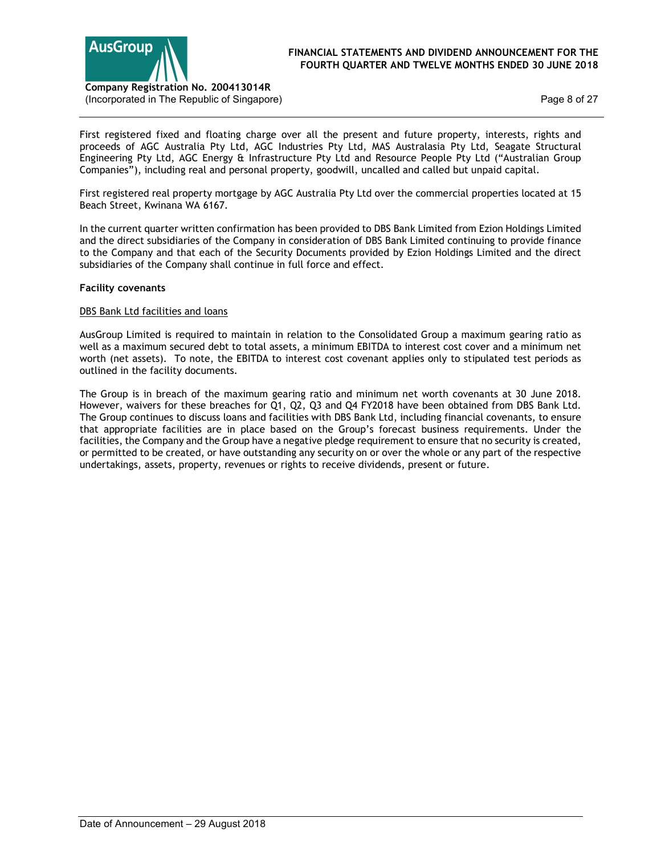

Page 8 of 27

First registered fixed and floating charge over all the present and future property, interests, rights and proceeds of AGC Australia Pty Ltd, AGC Industries Pty Ltd, MAS Australasia Pty Ltd, Seagate Structural Engineering Pty Ltd, AGC Energy & Infrastructure Pty Ltd and Resource People Pty Ltd ("Australian Group Companies"), including real and personal property, goodwill, uncalled and called but unpaid capital.

First registered real property mortgage by AGC Australia Pty Ltd over the commercial properties located at 15 Beach Street, Kwinana WA 6167.

In the current quarter written confirmation has been provided to DBS Bank Limited from Ezion Holdings Limited and the direct subsidiaries of the Company in consideration of DBS Bank Limited continuing to provide finance to the Company and that each of the Security Documents provided by Ezion Holdings Limited and the direct subsidiaries of the Company shall continue in full force and effect.

## Facility covenants

## DBS Bank Ltd facilities and loans

AusGroup Limited is required to maintain in relation to the Consolidated Group a maximum gearing ratio as well as a maximum secured debt to total assets, a minimum EBITDA to interest cost cover and a minimum net worth (net assets). To note, the EBITDA to interest cost covenant applies only to stipulated test periods as outlined in the facility documents.

The Group is in breach of the maximum gearing ratio and minimum net worth covenants at 30 June 2018. However, waivers for these breaches for Q1, Q2, Q3 and Q4 FY2018 have been obtained from DBS Bank Ltd. The Group continues to discuss loans and facilities with DBS Bank Ltd, including financial covenants, to ensure that appropriate facilities are in place based on the Group's forecast business requirements. Under the facilities, the Company and the Group have a negative pledge requirement to ensure that no security is created, or permitted to be created, or have outstanding any security on or over the whole or any part of the respective undertakings, assets, property, revenues or rights to receive dividends, present or future.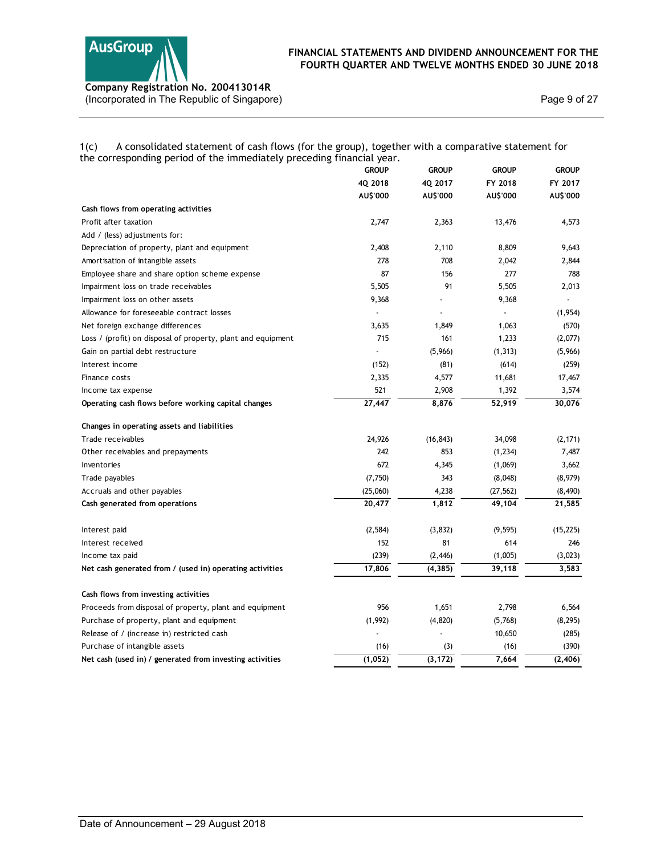

## 1(c) A consolidated statement of cash flows (for the group), together with a comparative statement for the corresponding period of the immediately preceding financial year.

| (Incorporated in The Republic of Singapore)                                                               |                          |                          |                      | Page 9 of 27     |
|-----------------------------------------------------------------------------------------------------------|--------------------------|--------------------------|----------------------|------------------|
| A consolidated statement of cash flows (for the group), together with a comparative statement for<br>1(c) |                          |                          |                      |                  |
| the corresponding period of the immediately preceding financial year.                                     |                          |                          |                      |                  |
|                                                                                                           | <b>GROUP</b>             | <b>GROUP</b>             | <b>GROUP</b>         | <b>GROUP</b>     |
|                                                                                                           | 4Q 2018                  | 4Q 2017                  | FY 2018              | FY 2017          |
|                                                                                                           | AU\$'000                 | AU\$'000                 | AU\$'000             | AU\$'000         |
| Cash flows from operating activities                                                                      |                          |                          |                      |                  |
| Profit after taxation                                                                                     | 2,747                    | 2,363                    | 13,476               | 4,573            |
| Add / (less) adjustments for:<br>Depreciation of property, plant and equipment                            | 2,408                    | 2,110                    | 8,809                | 9,643            |
| Amortisation of intangible assets                                                                         | 278                      | 708                      | 2,042                | 2,844            |
| Employee share and share option scheme expense                                                            | 87                       | 156                      | 277                  | 788              |
| Impairment loss on trade receivables                                                                      | 5,505                    | 91                       | 5,505                | 2,013            |
| Impairment loss on other assets                                                                           | 9,368                    | $\overline{\phantom{a}}$ | 9,368                | $\sim$           |
| Allowance for foreseeable contract losses                                                                 | $\overline{\phantom{a}}$ | $\overline{\phantom{a}}$ | $\sim$               | (1,954)          |
| Net foreign exchange differences                                                                          | 3,635                    | 1,849                    | 1,063                | (570)            |
| Loss / (profit) on disposal of property, plant and equipment                                              | 715                      | 161                      | 1,233                | (2,077)          |
| Gain on partial debt restructure                                                                          | $\overline{\phantom{a}}$ | (5,966)                  | (1, 313)             | (5,966)          |
| Interest income                                                                                           | (152)                    | (81)                     | (614)                | (259)            |
| Finance costs                                                                                             | 2,335                    | 4,577                    | 11,681               | 17,467           |
| Income tax expense                                                                                        | 521                      | 2,908                    | 1,392                | 3,574            |
| Operating cash flows before working capital changes                                                       | 27,447                   | 8,876                    | 52,919               | 30,076           |
|                                                                                                           |                          |                          |                      |                  |
| Changes in operating assets and liabilities                                                               |                          |                          |                      |                  |
| Trade receivables                                                                                         | 24,926                   | (16, 843)                | 34,098               | (2, 171)         |
| Other receivables and prepayments                                                                         | 242                      | 853                      | (1, 234)             | 7,487            |
| Inventories                                                                                               | 672<br>(7, 750)          | 4,345<br>343             | (1,069)              | 3,662<br>(8,979) |
| Trade payables<br>Accruals and other payables                                                             | (25,060)                 | 4,238                    | (8,048)<br>(27, 562) | (8, 490)         |
| Cash generated from operations                                                                            | 20,477                   | 1,812                    | 49,104               | 21,585           |
|                                                                                                           |                          |                          |                      |                  |
| Interest paid                                                                                             | (2, 584)                 | (3, 832)                 | (9, 595)             | (15, 225)        |
| Interest received                                                                                         | 152                      | 81                       | 614                  | 246              |
| Income tax paid                                                                                           | (239)                    | (2, 446)                 | (1,005)              | (3,023)          |
| Net cash generated from / (used in) operating activities                                                  | 17,806                   | (4, 385)                 | 39,118               | 3,583            |
|                                                                                                           |                          |                          |                      |                  |
| Cash flows from investing activities                                                                      |                          |                          |                      |                  |
| Proceeds from disposal of property, plant and equipment                                                   | 956                      | 1,651                    | 2,798                | 6,564            |
| Purchase of property, plant and equipment                                                                 | (1,992)                  | (4, 820)                 | (5,768)              | (8, 295)         |
| Release of / (increase in) restricted cash                                                                | $\overline{\phantom{a}}$ | $\overline{\phantom{a}}$ | 10,650               | (285)            |
| Purchase of intangible assets                                                                             | (16)                     | (3)                      | (16)                 | (390)            |
| Net cash (used in) / generated from investing activities                                                  | (1,052)                  | (3, 172)                 | 7,664                | (2, 406)         |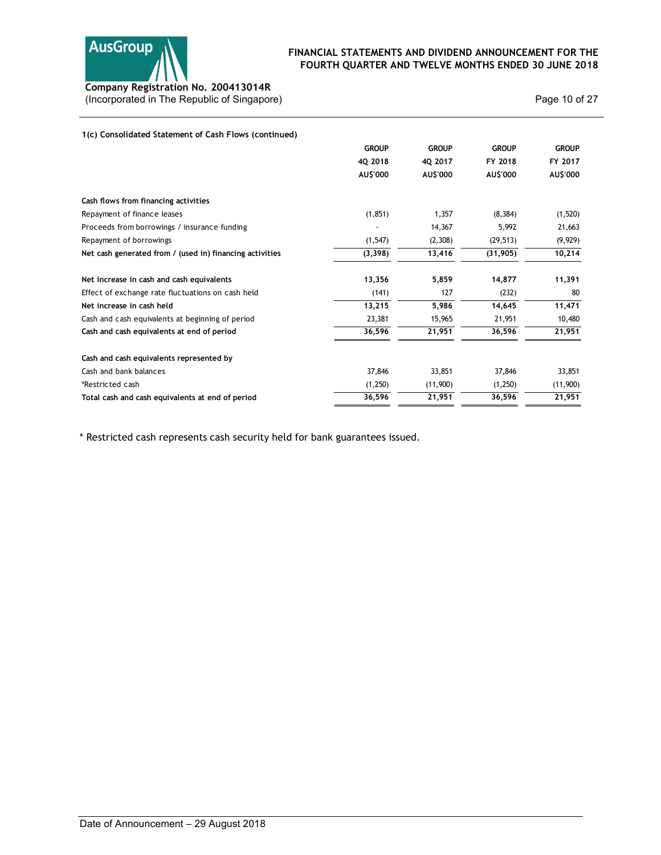

| Company Registration No. 200413014R                      | FOURTH QUARTER AND TWELVE MONTHS ENDED 30 JUNE 2018 |              |              | FINANCIAL STATEMENTS AND DIVIDEND ANNOUNCEMENT FOR THE |
|----------------------------------------------------------|-----------------------------------------------------|--------------|--------------|--------------------------------------------------------|
| (Incorporated in The Republic of Singapore)              |                                                     |              |              | Page 10 of 27                                          |
| 1(c) Consolidated Statement of Cash Flows (continued)    |                                                     |              |              |                                                        |
|                                                          | <b>GROUP</b>                                        | <b>GROUP</b> | <b>GROUP</b> | <b>GROUP</b>                                           |
|                                                          | 4Q 2018                                             | 4Q 2017      | FY 2018      | FY 2017                                                |
|                                                          | AU\$'000                                            | AU\$'000     | AU\$'000     | AU\$'000                                               |
| Cash flows from financing activities                     |                                                     |              |              |                                                        |
| Repayment of finance leases                              | (1, 851)                                            | 1,357        | (8, 384)     | (1,520)                                                |
| Proceeds from borrowings / insurance funding             | $\overline{\phantom{a}}$                            | 14,367       | 5,992        | 21,663                                                 |
| Repayment of borrowings                                  | (1, 547)                                            | (2,308)      | (29, 513)    | (9, 929)                                               |
| Net cash generated from / (used in) financing activities | (3, 398)                                            | 13,416       | (31, 905)    | 10,214                                                 |
| Net increase in cash and cash equivalents                | 13,356                                              | 5,859        | 14,877       | 11,391                                                 |
| Effect of exchange rate fluctuations on cash held        | (141)                                               | 127          | (232)        | 80                                                     |
| Net increase in cash held                                | 13,215                                              | 5,986        | 14,645       | 11,471                                                 |
| Cash and cash equivalents at beginning of period         | 23,381                                              | 15,965       | 21,951       | 10,480                                                 |
| Cash and cash equivalents at end of period               | 36,596                                              | 21,951       | 36,596       | 21,951                                                 |
| Cash and cash equivalents represented by                 |                                                     |              |              |                                                        |
| Cash and bank balances                                   | 37,846                                              | 33,851       | 37,846       | 33,851                                                 |
| *Restricted cash                                         | (1,250)                                             | (11,900)     | (1,250)      | (11,900)                                               |
| Total cash and cash equivalents at end of period         | 36,596                                              | 21,951       | 36,596       | 21,951                                                 |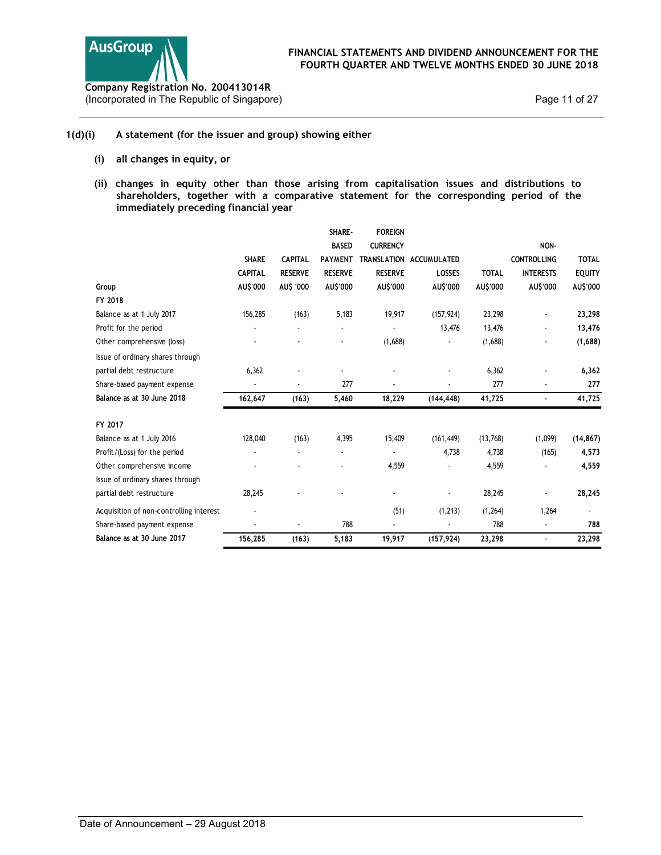

## 1(d)(i) A statement (for the issuer and group) showing either

- (i) all changes in equity, or
- (ii) changes in equity other than those arising from capitalisation issues and distributions to shareholders, together with a comparative statement for the corresponding period of the immediately preceding financial year

| <b>AusGroup</b><br>ompany Registration No. 200413014R<br>ncorporated in The Republic of Singapore)                                                                                                                                    |                          |                |                |                          | FINANCIAL STATEMENTS AND DIVIDEND ANNOUNCEMENT FOR THE<br>FOURTH QUARTER AND TWELVE MONTHS ENDED 30 JUNE 2018 |              |                    | Page 11 of 27 |
|---------------------------------------------------------------------------------------------------------------------------------------------------------------------------------------------------------------------------------------|--------------------------|----------------|----------------|--------------------------|---------------------------------------------------------------------------------------------------------------|--------------|--------------------|---------------|
| A statement (for the issuer and group) showing either                                                                                                                                                                                 |                          |                |                |                          |                                                                                                               |              |                    |               |
| all changes in equity, or<br>(i)                                                                                                                                                                                                      |                          |                |                |                          |                                                                                                               |              |                    |               |
| (ii)<br>changes in equity other than those arising from capitalisation issues and distributions to<br>shareholders, together with a comparative statement for the corresponding period of the<br>immediately preceding financial year |                          |                |                |                          |                                                                                                               |              |                    |               |
|                                                                                                                                                                                                                                       |                          |                | SHARE-         | <b>FOREIGN</b>           |                                                                                                               |              |                    |               |
|                                                                                                                                                                                                                                       |                          |                | <b>BASED</b>   | <b>CURRENCY</b>          |                                                                                                               |              | NON-               |               |
|                                                                                                                                                                                                                                       | <b>SHARE</b>             | <b>CAPITAL</b> |                |                          | PAYMENT TRANSLATION ACCUMULATED                                                                               |              | <b>CONTROLLING</b> | <b>TOTAL</b>  |
|                                                                                                                                                                                                                                       | <b>CAPITAL</b>           | <b>RESERVE</b> | <b>RESERVE</b> | <b>RESERVE</b>           | LOSSES                                                                                                        | <b>TOTAL</b> | <b>INTERESTS</b>   | <b>EQUITY</b> |
| Group                                                                                                                                                                                                                                 | AU\$'000                 | AU\$ '000      | AU\$'000       | AU\$'000                 | AU\$'000                                                                                                      | AU\$'000     | AU\$'000           | AU\$'000      |
| FY 2018                                                                                                                                                                                                                               |                          |                |                |                          |                                                                                                               |              |                    |               |
| Balance as at 1 July 2017                                                                                                                                                                                                             | 156,285                  | (163)          | 5,183          | 19,917                   | (157, 924)                                                                                                    | 23,298       |                    | 23,298        |
| Profit for the period                                                                                                                                                                                                                 | $\blacksquare$           |                | $\blacksquare$ | $\blacksquare$           | 13,476                                                                                                        | 13,476       |                    | 13,476        |
| Other comprehensive (loss)                                                                                                                                                                                                            |                          |                |                | (1,688)                  | $\blacksquare$                                                                                                | (1,688)      |                    | (1,688)       |
| Issue of ordinary shares through                                                                                                                                                                                                      |                          |                |                |                          |                                                                                                               |              |                    |               |
| partial debt restructure                                                                                                                                                                                                              | 6,362                    |                | $\blacksquare$ | $\overline{\phantom{a}}$ |                                                                                                               | 6,362        |                    | 6,362         |
| Share-based payment expense                                                                                                                                                                                                           | $\blacksquare$           | $\sim$         | 277            | $\blacksquare$           | $\blacksquare$                                                                                                | 277          | $\blacksquare$     | 277           |
| Balance as at 30 June 2018                                                                                                                                                                                                            | 162,647                  | (163)          | 5,460          | 18,229                   | (144, 448)                                                                                                    | 41,725       | $\sim$             | 41,725        |
| FY 2017                                                                                                                                                                                                                               |                          |                |                |                          |                                                                                                               |              |                    |               |
| Balance as at 1 July 2016                                                                                                                                                                                                             | 128,040                  | (163)          | 4,395          | 15,409                   | (161, 449)                                                                                                    | (13,768)     | (1,099)            | (14, 867)     |
| Profit/(Loss) for the period                                                                                                                                                                                                          |                          |                |                | $\blacksquare$           | 4,738                                                                                                         | 4,738        | (165)              | 4,573         |
| Other comprehensive income                                                                                                                                                                                                            |                          |                |                | 4,559                    | $\blacksquare$                                                                                                | 4,559        | $\blacksquare$     | 4,559         |
| Issue of ordinary shares through                                                                                                                                                                                                      |                          |                |                |                          |                                                                                                               |              |                    |               |
| partial debt restructure                                                                                                                                                                                                              | 28,245                   |                |                | $\overline{\phantom{a}}$ | $\overline{\phantom{a}}$                                                                                      | 28,245       | $\blacksquare$     | 28,245        |
|                                                                                                                                                                                                                                       |                          |                |                |                          |                                                                                                               |              |                    |               |
| Acquisition of non-controlling interest                                                                                                                                                                                               | $\blacksquare$           |                |                | (51)                     | (1, 213)                                                                                                      | (1,264)      | 1,264              |               |
| Share-based payment expense                                                                                                                                                                                                           | $\overline{\phantom{a}}$ | $\sim$         | 788            | $\blacksquare$           | $\sim$                                                                                                        | 788          | $\sim$             | 788           |
| Balance as at 30 June 2017                                                                                                                                                                                                            | 156,285                  | (163)          | 5,183          | 19,917                   | (157, 924)                                                                                                    | 23,298       | $\sim$             | 23,298        |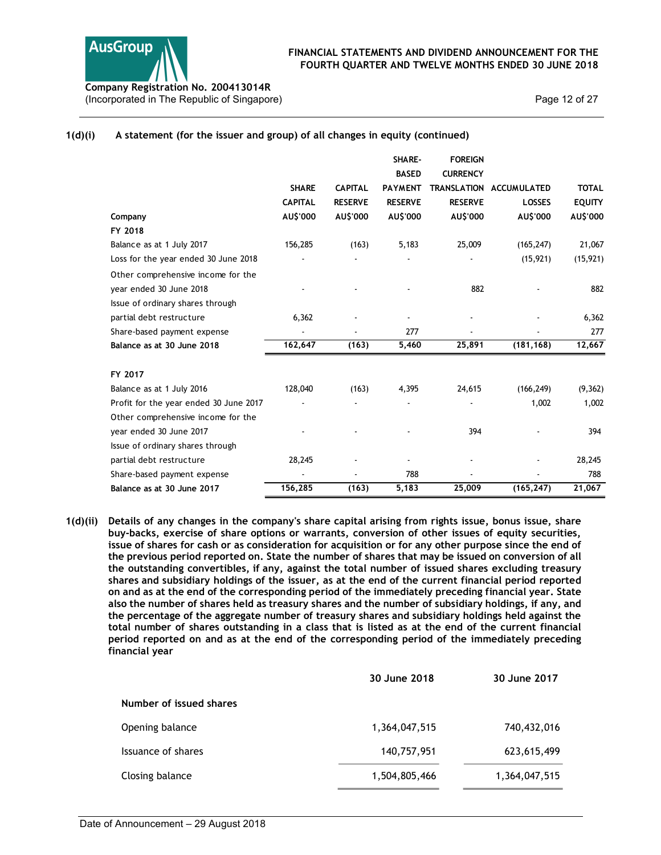

## 1(d)(i) A statement (for the issuer and group) of all changes in equity (continued)

| pany Registration No. 200413014R<br>prporated in The Republic of Singapore) |                                |                                  |                                          |                                                     | FINANCIAL STATEMENTS AND DIVIDEND ANNOUNCEMENT FOR THE<br>FOURTH QUARTER AND TWELVE MONTHS ENDED 30 JUNE 2018 | Page 12 of 27                 |
|-----------------------------------------------------------------------------|--------------------------------|----------------------------------|------------------------------------------|-----------------------------------------------------|---------------------------------------------------------------------------------------------------------------|-------------------------------|
| A statement (for the issuer and group) of all changes in equity (continued) |                                |                                  |                                          |                                                     |                                                                                                               |                               |
|                                                                             | <b>SHARE</b><br><b>CAPITAL</b> | <b>CAPITAL</b><br><b>RESERVE</b> | SHARE-<br><b>BASED</b><br><b>RESERVE</b> | <b>FOREIGN</b><br><b>CURRENCY</b><br><b>RESERVE</b> | PAYMENT TRANSLATION ACCUMULATED<br><b>LOSSES</b>                                                              | <b>TOTAL</b><br><b>EQUITY</b> |
| Company                                                                     | AU\$'000                       | AU\$'000                         | AU\$'000                                 | AU\$'000                                            | AU\$'000                                                                                                      | AU\$'000                      |
| FY 2018                                                                     |                                |                                  |                                          |                                                     |                                                                                                               |                               |
| Balance as at 1 July 2017                                                   | 156,285                        | (163)                            | 5,183                                    | 25,009                                              | (165, 247)                                                                                                    | 21,067                        |
| Loss for the year ended 30 June 2018<br>Other comprehensive income for the  |                                |                                  |                                          |                                                     | (15, 921)                                                                                                     | (15, 921)                     |
| year ended 30 June 2018<br>Issue of ordinary shares through                 |                                |                                  |                                          | 882                                                 |                                                                                                               | 882                           |
| partial debt restructure                                                    | 6,362                          |                                  |                                          |                                                     |                                                                                                               | 6,362                         |
| Share-based payment expense                                                 |                                |                                  | 277                                      |                                                     |                                                                                                               | 277                           |
| Balance as at 30 June 2018                                                  | 162,647                        | (163)                            | 5,460                                    | 25,891                                              | (181, 168)                                                                                                    | 12,667                        |
| FY 2017                                                                     |                                |                                  |                                          |                                                     |                                                                                                               |                               |
| Balance as at 1 July 2016                                                   | 128,040                        | (163)                            | 4,395                                    | 24,615                                              | (166, 249)                                                                                                    | (9, 362)                      |
| Profit for the year ended 30 June 2017                                      | $\blacksquare$                 |                                  | $\blacksquare$                           | $\sim$                                              | 1,002                                                                                                         | 1,002                         |
| Other comprehensive income for the                                          |                                |                                  |                                          |                                                     |                                                                                                               |                               |
| year ended 30 June 2017                                                     |                                |                                  |                                          | 394                                                 |                                                                                                               | 394                           |
| Issue of ordinary shares through                                            |                                |                                  |                                          |                                                     |                                                                                                               |                               |
| partial debt restructure                                                    | 28,245                         |                                  |                                          |                                                     |                                                                                                               | 28,245                        |
| Share-based payment expense                                                 |                                |                                  | 788                                      | $\sim$                                              |                                                                                                               | 788                           |
| Balance as at 30 June 2017                                                  | 156,285                        | (163)                            | 5,183                                    | 25,009                                              | (165, 247)                                                                                                    | 21,067                        |

1(d)(ii) Details of any changes in the company's share capital arising from rights issue, bonus issue, share buy-backs, exercise of share options or warrants, conversion of other issues of equity securities, issue of shares for cash or as consideration for acquisition or for any other purpose since the end of the previous period reported on. State the number of shares that may be issued on conversion of all the outstanding convertibles, if any, against the total number of issued shares excluding treasury shares and subsidiary holdings of the issuer, as at the end of the current financial period reported on and as at the end of the corresponding period of the immediately preceding financial year. State also the number of shares held as treasury shares and the number of subsidiary holdings, if any, and the percentage of the aggregate number of treasury shares and subsidiary holdings held against the total number of shares outstanding in a class that is listed as at the end of the current financial period reported on and as at the end of the corresponding period of the immediately preceding financial year

|                         | 30 June 2018  | 30 June 2017  |
|-------------------------|---------------|---------------|
| Number of issued shares |               |               |
| Opening balance         | 1,364,047,515 | 740,432,016   |
| Issuance of shares      | 140,757,951   | 623,615,499   |
| Closing balance         | 1,504,805,466 | 1,364,047,515 |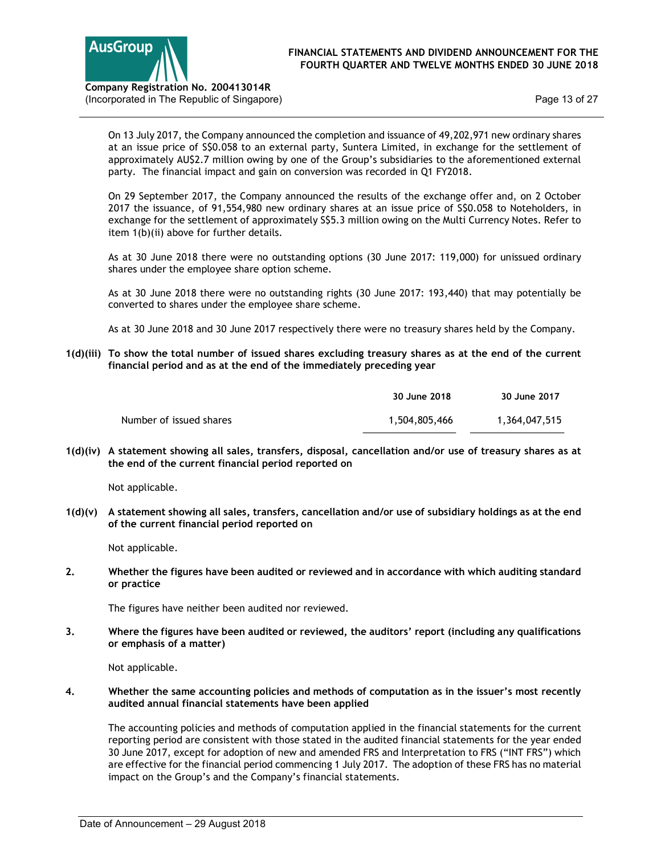

Page 13 of 27

On 13 July 2017, the Company announced the completion and issuance of 49,202,971 new ordinary shares at an issue price of S\$0.058 to an external party, Suntera Limited, in exchange for the settlement of approximately AU\$2.7 million owing by one of the Group's subsidiaries to the aforementioned external party. The financial impact and gain on conversion was recorded in Q1 FY2018.

On 29 September 2017, the Company announced the results of the exchange offer and, on 2 October 2017 the issuance, of 91,554,980 new ordinary shares at an issue price of S\$0.058 to Noteholders, in exchange for the settlement of approximately S\$5.3 million owing on the Multi Currency Notes. Refer to item 1(b)(ii) above for further details.

As at 30 June 2018 there were no outstanding options (30 June 2017: 119,000) for unissued ordinary shares under the employee share option scheme.

As at 30 June 2018 there were no outstanding rights (30 June 2017: 193,440) that may potentially be converted to shares under the employee share scheme.

As at 30 June 2018 and 30 June 2017 respectively there were no treasury shares held by the Company.

1(d)(iii) To show the total number of issued shares excluding treasury shares as at the end of the current financial period and as at the end of the immediately preceding year

|                         | 30 June 2018  | 30 June 2017  |
|-------------------------|---------------|---------------|
| Number of issued shares | 1,504,805,466 | 1,364,047,515 |

1(d)(iv) A statement showing all sales, transfers, disposal, cancellation and/or use of treasury shares as at the end of the current financial period reported on

Not applicable.

1(d)(v) A statement showing all sales, transfers, cancellation and/or use of subsidiary holdings as at the end of the current financial period reported on

Not applicable.

2. Whether the figures have been audited or reviewed and in accordance with which auditing standard or practice

The figures have neither been audited nor reviewed.

3. Where the figures have been audited or reviewed, the auditors' report (including any qualifications or emphasis of a matter)

Not applicable.

4. Whether the same accounting policies and methods of computation as in the issuer's most recently audited annual financial statements have been applied

The accounting policies and methods of computation applied in the financial statements for the current reporting period are consistent with those stated in the audited financial statements for the year ended 30 June 2017, except for adoption of new and amended FRS and Interpretation to FRS ("INT FRS") which are effective for the financial period commencing 1 July 2017. The adoption of these FRS has no material impact on the Group's and the Company's financial statements.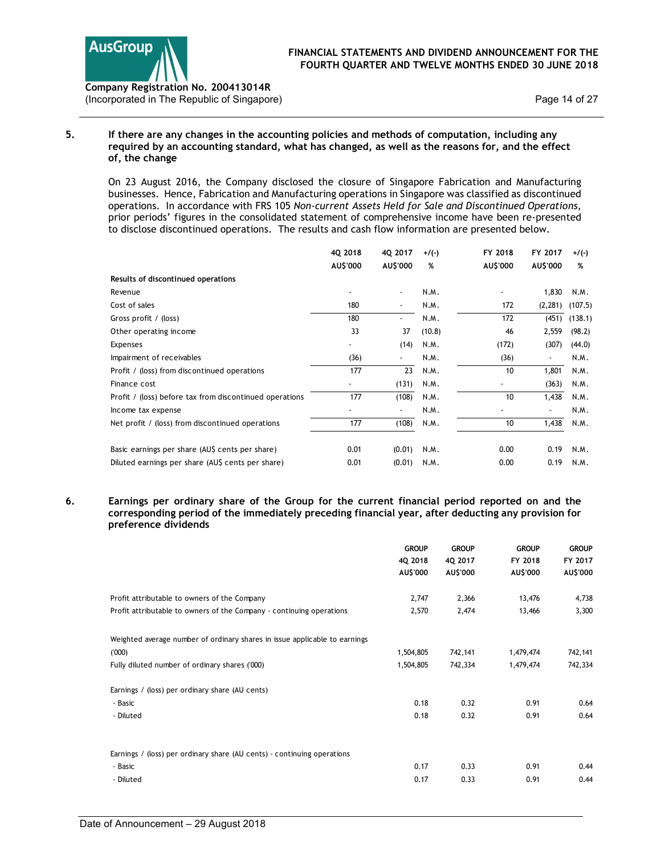

Company Registration No. 200413014R (Incorporated in The Republic of Singapore)

## 5. If there are any changes in the accounting policies and methods of computation, including any required by an accounting standard, what has changed, as well as the reasons for, and the effect of, the change

| sGroup                                                                                                                                                                                                                                                                                                                                                                                                                                                                                                                       | <b>FINANCIAL STATEMENTS AND DIVIDEND ANNOUNCEMENT FOR THE</b><br>FOURTH QUARTER AND TWELVE MONTHS ENDED 30 JUNE 2018 |                          |               |                 |                          |                          |                     |
|------------------------------------------------------------------------------------------------------------------------------------------------------------------------------------------------------------------------------------------------------------------------------------------------------------------------------------------------------------------------------------------------------------------------------------------------------------------------------------------------------------------------------|----------------------------------------------------------------------------------------------------------------------|--------------------------|---------------|-----------------|--------------------------|--------------------------|---------------------|
| Dany Registration No. 200413014R<br>rporated in The Republic of Singapore)                                                                                                                                                                                                                                                                                                                                                                                                                                                   |                                                                                                                      |                          |               |                 |                          |                          | Page 14 of 27       |
| If there are any changes in the accounting policies and methods of computation, including any<br>required by an accounting standard, what has changed, as well as the reasons for, and the effect<br>of, the change                                                                                                                                                                                                                                                                                                          |                                                                                                                      |                          |               |                 |                          |                          |                     |
| On 23 August 2016, the Company disclosed the closure of Singapore Fabrication and Manufacturing<br>businesses. Hence, Fabrication and Manufacturing operations in Singapore was classified as discontinued<br>operations. In accordance with FRS 105 Non-current Assets Held for Sale and Discontinued Operations,<br>prior periods' figures in the consolidated statement of comprehensive income have been re-presented<br>to disclose discontinued operations. The results and cash flow information are presented below. |                                                                                                                      |                          |               |                 |                          |                          |                     |
|                                                                                                                                                                                                                                                                                                                                                                                                                                                                                                                              | 4Q 2018                                                                                                              | 4Q 2017                  | $+/(-)$       |                 | FY 2018                  | FY 2017 $+/(-)$          |                     |
|                                                                                                                                                                                                                                                                                                                                                                                                                                                                                                                              | AU\$'000                                                                                                             | AU\$'000                 | %             |                 | AU\$'000                 | AU\$'000                 | %                   |
| Results of discontinued operations                                                                                                                                                                                                                                                                                                                                                                                                                                                                                           |                                                                                                                      |                          |               |                 |                          |                          |                     |
| Revenue                                                                                                                                                                                                                                                                                                                                                                                                                                                                                                                      |                                                                                                                      | $\overline{\phantom{a}}$ | N.M.          |                 |                          | 1,830                    | N.M.                |
| Cost of sales                                                                                                                                                                                                                                                                                                                                                                                                                                                                                                                | 180                                                                                                                  | $\sim$                   | N.M.          |                 | 172                      |                          | $(2,281)$ $(107.5)$ |
| Gross profit / (loss)                                                                                                                                                                                                                                                                                                                                                                                                                                                                                                        | 180                                                                                                                  | $\blacksquare$           | N.M.          |                 | 172                      |                          | $(451)$ $(138.1)$   |
| Other operating income                                                                                                                                                                                                                                                                                                                                                                                                                                                                                                       | 33                                                                                                                   | 37                       | (10.8)        |                 | 46                       | 2,559                    | (98.2)              |
|                                                                                                                                                                                                                                                                                                                                                                                                                                                                                                                              |                                                                                                                      | (14)                     | N.M.          |                 | (172)                    | (307)                    | (44.0)              |
| Expenses<br>Impairment of receivables                                                                                                                                                                                                                                                                                                                                                                                                                                                                                        | (36)                                                                                                                 | $\blacksquare$           | N.M.          |                 | (36)                     | $\sim$                   | N.M.                |
|                                                                                                                                                                                                                                                                                                                                                                                                                                                                                                                              | 177                                                                                                                  | 23                       | N.M.          |                 | 10                       |                          |                     |
| Profit / (loss) from discontinued operations                                                                                                                                                                                                                                                                                                                                                                                                                                                                                 |                                                                                                                      |                          |               |                 |                          | 1,801                    | N.M.                |
| Finance cost                                                                                                                                                                                                                                                                                                                                                                                                                                                                                                                 | $\blacksquare$                                                                                                       | (131)                    | N.M.          |                 | $\overline{\phantom{a}}$ | (363)                    | N.M.                |
| Profit / (loss) before tax from discontinued operations                                                                                                                                                                                                                                                                                                                                                                                                                                                                      | 177                                                                                                                  | (108)                    | N.M.          |                 | 10                       | 1,438                    | N.M.                |
| Income tax expense                                                                                                                                                                                                                                                                                                                                                                                                                                                                                                           | $\overline{\phantom{a}}$                                                                                             | $\overline{\phantom{a}}$ | N.M.          |                 | $\overline{\phantom{a}}$ | $\overline{\phantom{a}}$ | N.M.                |
| Net profit / (loss) from discontinued operations                                                                                                                                                                                                                                                                                                                                                                                                                                                                             | 177                                                                                                                  | (108)                    | N.M.          |                 | 10                       | 1,438                    | N.M.                |
| Basic earnings per share (AU\$ cents per share)                                                                                                                                                                                                                                                                                                                                                                                                                                                                              | 0.01                                                                                                                 | (0.01)                   | N.M.          |                 | 0.00                     | 0.19                     | N.M.                |
| Diluted earnings per share (AU\$ cents per share)                                                                                                                                                                                                                                                                                                                                                                                                                                                                            | 0.01                                                                                                                 |                          | $(0.01)$ N.M. |                 | 0.00                     |                          | 0.19 N.M.           |
|                                                                                                                                                                                                                                                                                                                                                                                                                                                                                                                              |                                                                                                                      |                          |               |                 |                          |                          |                     |
| Earnings per ordinary share of the Group for the current financial period reported on and the<br>corresponding period of the immediately preceding financial year, after deducting any provision for<br>preference dividends                                                                                                                                                                                                                                                                                                 |                                                                                                                      |                          |               |                 |                          |                          |                     |
|                                                                                                                                                                                                                                                                                                                                                                                                                                                                                                                              |                                                                                                                      |                          | <b>GROUP</b>  | <b>GROUP</b>    |                          | <b>GROUP</b>             | <b>GROUP</b>        |
|                                                                                                                                                                                                                                                                                                                                                                                                                                                                                                                              |                                                                                                                      | 4Q 2018                  |               | 4Q 2017         | FY 2018                  |                          | FY 2017             |
|                                                                                                                                                                                                                                                                                                                                                                                                                                                                                                                              |                                                                                                                      | AU\$'000                 |               | <b>AU\$'000</b> | AU\$'000                 |                          | AU\$'000            |
| Profit attributable to owners of the Company                                                                                                                                                                                                                                                                                                                                                                                                                                                                                 |                                                                                                                      |                          | 2,747         | 2,366           |                          | 13,476                   | 4,738               |
| Profit attributable to owners of the Company - continuing operations                                                                                                                                                                                                                                                                                                                                                                                                                                                         |                                                                                                                      |                          | 2,570         | 2,474           |                          | 13,466                   | 3,300               |
| Weighted average number of ordinary shares in issue applicable to earnings                                                                                                                                                                                                                                                                                                                                                                                                                                                   |                                                                                                                      |                          |               |                 |                          |                          |                     |
| (000)                                                                                                                                                                                                                                                                                                                                                                                                                                                                                                                        |                                                                                                                      | 1,504,805                |               | 742,141         | 1,479,474                |                          | 742,141             |
|                                                                                                                                                                                                                                                                                                                                                                                                                                                                                                                              |                                                                                                                      |                          |               |                 |                          |                          |                     |

## 6. Earnings per ordinary share of the Group for the current financial period reported on and the corresponding period of the immediately preceding financial year, after deducting any provision for preference dividends

| <b>Expenses</b>                                                                                                             | 33             | 37                       | (10.8) |                     | 46                       | 2,559                    | (98.2)              |
|-----------------------------------------------------------------------------------------------------------------------------|----------------|--------------------------|--------|---------------------|--------------------------|--------------------------|---------------------|
|                                                                                                                             | $\blacksquare$ | (14)                     | N.M.   |                     | (172)                    | (307)                    | (44.0)              |
| Impairment of receivables                                                                                                   | (36)           | $\overline{\phantom{a}}$ | N.M.   |                     | (36)                     | $\overline{\phantom{a}}$ | N.M.                |
| Profit / (loss) from discontinued operations                                                                                | 177            | $\overline{23}$          | N.M.   |                     | 10                       | 1,801                    | N.M.                |
| Finance cost                                                                                                                | $\blacksquare$ | (131)                    | N.M.   |                     | $\overline{\phantom{a}}$ | (363)                    | N.M.                |
| Profit / (loss) before tax from discontinued operations                                                                     | 177            | (108)                    | N.M.   |                     | 10                       | 1,438                    | N.M.                |
| Income tax expense                                                                                                          |                | $\overline{\phantom{a}}$ | N.M.   |                     |                          | $\overline{\phantom{a}}$ | N.M.                |
| Net profit / (loss) from discontinued operations                                                                            | 177            | (108)                    | N.M.   |                     | 10                       | 1,438                    | N.M.                |
| Basic earnings per share (AU\$ cents per share)                                                                             | 0.01           | (0.01)                   | N.M.   |                     | 0.00                     | 0.19                     | N.M.                |
| Diluted earnings per share (AU\$ cents per share)                                                                           | 0.01           | (0.01)                   | N.M.   |                     | 0.00                     | 0.19                     | N.M.                |
| corresponding period of the immediately preceding financial year, after deducting any provision for<br>preference dividends |                | <b>GROUP</b>             |        | <b>GROUP</b>        | <b>GROUP</b>             |                          | <b>GROUP</b>        |
|                                                                                                                             |                |                          |        |                     |                          |                          |                     |
|                                                                                                                             |                | 4Q 2018<br>AU\$'000      |        | 4Q 2017<br>AU\$'000 | FY 2018<br>AU\$'000      |                          | FY 2017<br>AU\$'000 |
| Profit attributable to owners of the Company                                                                                |                |                          | 2,747  | 2,366               | 13,476                   |                          | 4,738               |
| Profit attributable to owners of the Company - continuing operations                                                        |                |                          | 2,570  | 2,474               | 13,466                   |                          | 3,300               |
| Weighted average number of ordinary shares in issue applicable to earnings                                                  |                |                          |        |                     |                          |                          |                     |
| (000)                                                                                                                       |                | 1,504,805                |        | 742,141             | 1,479,474                |                          | 742,141             |
| Fully diluted number of ordinary shares ('000)                                                                              |                | 1,504,805                |        | 742,334             | 1,479,474                |                          | 742,334             |
|                                                                                                                             |                |                          |        |                     |                          |                          |                     |
| Earnings / (loss) per ordinary share (AU cents)                                                                             |                |                          | 0.18   | 0.32                | 0.91                     |                          | 0.64                |
| - Basic                                                                                                                     |                |                          |        |                     |                          |                          | 0.64                |
| - Diluted                                                                                                                   |                |                          | 0.18   | 0.32                | 0.91                     |                          |                     |
| Earnings / (loss) per ordinary share (AU cents) - continuing operations                                                     |                |                          |        |                     |                          |                          |                     |
| - Basic                                                                                                                     |                |                          | 0.17   | 0.33                | 0.91                     |                          | 0.44                |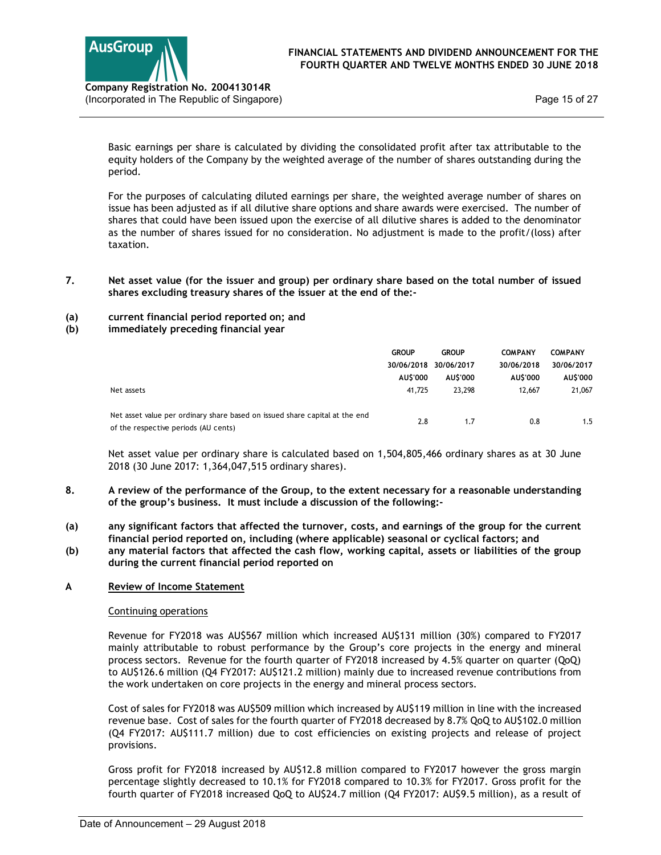

7. Net asset value (for the issuer and group) per ordinary share based on the total number of issued shares excluding treasury shares of the issuer at the end of the:-

## (a) current financial period reported on; and

(b) immediately preceding financial year

| pany Registration No. 200413014R<br>orporated in The Republic of Singapore)                                                                                                                                                                                                                                                                                                                                                                      |                                    |                                                             |                                                    | Page 15 of 27                                             |
|--------------------------------------------------------------------------------------------------------------------------------------------------------------------------------------------------------------------------------------------------------------------------------------------------------------------------------------------------------------------------------------------------------------------------------------------------|------------------------------------|-------------------------------------------------------------|----------------------------------------------------|-----------------------------------------------------------|
| Basic earnings per share is calculated by dividing the consolidated profit after tax attributable to the<br>equity holders of the Company by the weighted average of the number of shares outstanding during the<br>period.                                                                                                                                                                                                                      |                                    |                                                             |                                                    |                                                           |
| For the purposes of calculating diluted earnings per share, the weighted average number of shares on<br>issue has been adjusted as if all dilutive share options and share awards were exercised. The number of<br>shares that could have been issued upon the exercise of all dilutive shares is added to the denominator<br>as the number of shares issued for no consideration. No adjustment is made to the profit/(loss) after<br>taxation. |                                    |                                                             |                                                    |                                                           |
| Net asset value (for the issuer and group) per ordinary share based on the total number of issued<br>shares excluding treasury shares of the issuer at the end of the:-                                                                                                                                                                                                                                                                          |                                    |                                                             |                                                    |                                                           |
| current financial period reported on; and<br>immediately preceding financial year                                                                                                                                                                                                                                                                                                                                                                |                                    |                                                             |                                                    |                                                           |
| Net assets                                                                                                                                                                                                                                                                                                                                                                                                                                       | <b>GROUP</b><br>AU\$'000<br>41,725 | <b>GROUP</b><br>30/06/2018 30/06/2017<br>AU\$'000<br>23,298 | <b>COMPANY</b><br>30/06/2018<br>AU\$'000<br>12,667 | <b>COMPANY</b><br>30/06/2017<br><b>AU\$'000</b><br>21,067 |
| Net asset value per ordinary share based on issued share capital at the end<br>of the respective periods (AU cents)                                                                                                                                                                                                                                                                                                                              | 2.8                                | 1.7                                                         | 0.8                                                | 1.5                                                       |
| Net asset value per ordinary share is calculated based on 1,504,805,466 ordinary shares as at 30 June<br>2018 (30 June 2017: 1,364,047,515 ordinary shares).                                                                                                                                                                                                                                                                                     |                                    |                                                             |                                                    |                                                           |
| A review of the performance of the Group to the extent pecessary for a reasonable understanding                                                                                                                                                                                                                                                                                                                                                  |                                    |                                                             |                                                    |                                                           |

- 8. A review of the performance of the Group, to the extent necessary for a reasonable understanding of the group's business. It must include a discussion of the following:-
- (a) any significant factors that affected the turnover, costs, and earnings of the group for the current financial period reported on, including (where applicable) seasonal or cyclical factors; and
- (b) any material factors that affected the cash flow, working capital, assets or liabilities of the group during the current financial period reported on

## A Review of Income Statement

## Continuing operations

Revenue for FY2018 was AU\$567 million which increased AU\$131 million (30%) compared to FY2017 mainly attributable to robust performance by the Group's core projects in the energy and mineral process sectors. Revenue for the fourth quarter of FY2018 increased by 4.5% quarter on quarter (QoQ) to AU\$126.6 million (Q4 FY2017: AU\$121.2 million) mainly due to increased revenue contributions from the work undertaken on core projects in the energy and mineral process sectors.

Cost of sales for FY2018 was AU\$509 million which increased by AU\$119 million in line with the increased revenue base. Cost of sales for the fourth quarter of FY2018 decreased by 8.7% QoQ to AU\$102.0 million (Q4 FY2017: AU\$111.7 million) due to cost efficiencies on existing projects and release of project provisions.

Gross profit for FY2018 increased by AU\$12.8 million compared to FY2017 however the gross margin percentage slightly decreased to 10.1% for FY2018 compared to 10.3% for FY2017. Gross profit for the fourth quarter of FY2018 increased QoQ to AU\$24.7 million (Q4 FY2017: AU\$9.5 million), as a result of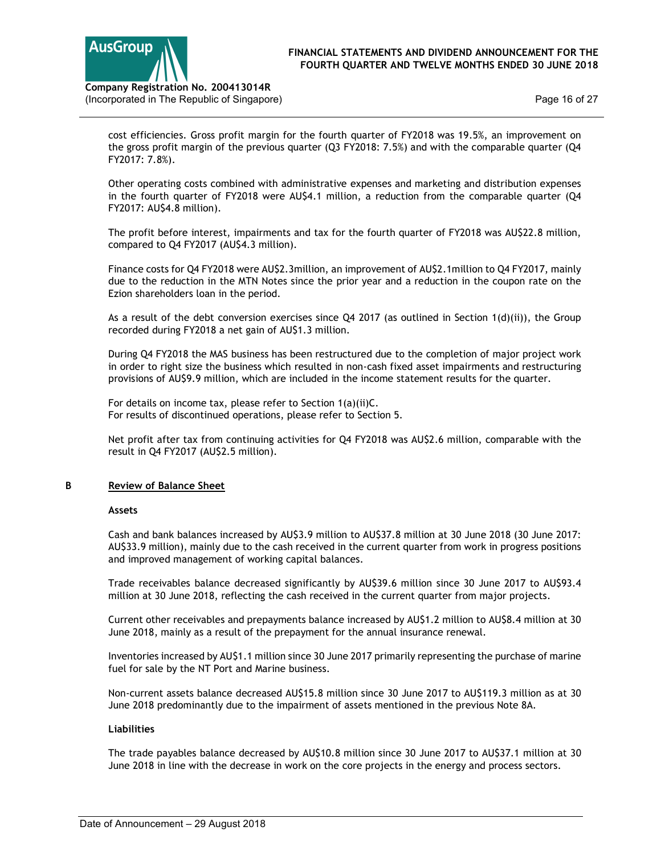

Page 16 of 27

(Incorporated in The Republic of Singapore)

cost efficiencies. Gross profit margin for the fourth quarter of FY2018 was 19.5%, an improvement on the gross profit margin of the previous quarter (Q3 FY2018: 7.5%) and with the comparable quarter (Q4 FY2017: 7.8%).

Other operating costs combined with administrative expenses and marketing and distribution expenses in the fourth quarter of FY2018 were AU\$4.1 million, a reduction from the comparable quarter (Q4 FY2017: AU\$4.8 million).

The profit before interest, impairments and tax for the fourth quarter of FY2018 was AU\$22.8 million, compared to Q4 FY2017 (AU\$4.3 million).

Finance costs for Q4 FY2018 were AU\$2.3million, an improvement of AU\$2.1million to Q4 FY2017, mainly due to the reduction in the MTN Notes since the prior year and a reduction in the coupon rate on the Ezion shareholders loan in the period.

As a result of the debt conversion exercises since  $Q4$  2017 (as outlined in Section  $1(d)(ii)$ ), the Group recorded during FY2018 a net gain of AU\$1.3 million.

During Q4 FY2018 the MAS business has been restructured due to the completion of major project work in order to right size the business which resulted in non-cash fixed asset impairments and restructuring provisions of AU\$9.9 million, which are included in the income statement results for the quarter.

For details on income tax, please refer to Section 1(a)(ii)C. For results of discontinued operations, please refer to Section 5.

Net profit after tax from continuing activities for Q4 FY2018 was AU\$2.6 million, comparable with the result in Q4 FY2017 (AU\$2.5 million).

## B Review of Balance Sheet

## Assets

Cash and bank balances increased by AU\$3.9 million to AU\$37.8 million at 30 June 2018 (30 June 2017: AU\$33.9 million), mainly due to the cash received in the current quarter from work in progress positions and improved management of working capital balances.

Trade receivables balance decreased significantly by AU\$39.6 million since 30 June 2017 to AU\$93.4 million at 30 June 2018, reflecting the cash received in the current quarter from major projects.

Current other receivables and prepayments balance increased by AU\$1.2 million to AU\$8.4 million at 30 June 2018, mainly as a result of the prepayment for the annual insurance renewal.

Inventories increased by AU\$1.1 million since 30 June 2017 primarily representing the purchase of marine fuel for sale by the NT Port and Marine business.

Non-current assets balance decreased AU\$15.8 million since 30 June 2017 to AU\$119.3 million as at 30 June 2018 predominantly due to the impairment of assets mentioned in the previous Note 8A.

## Liabilities

The trade payables balance decreased by AU\$10.8 million since 30 June 2017 to AU\$37.1 million at 30 June 2018 in line with the decrease in work on the core projects in the energy and process sectors.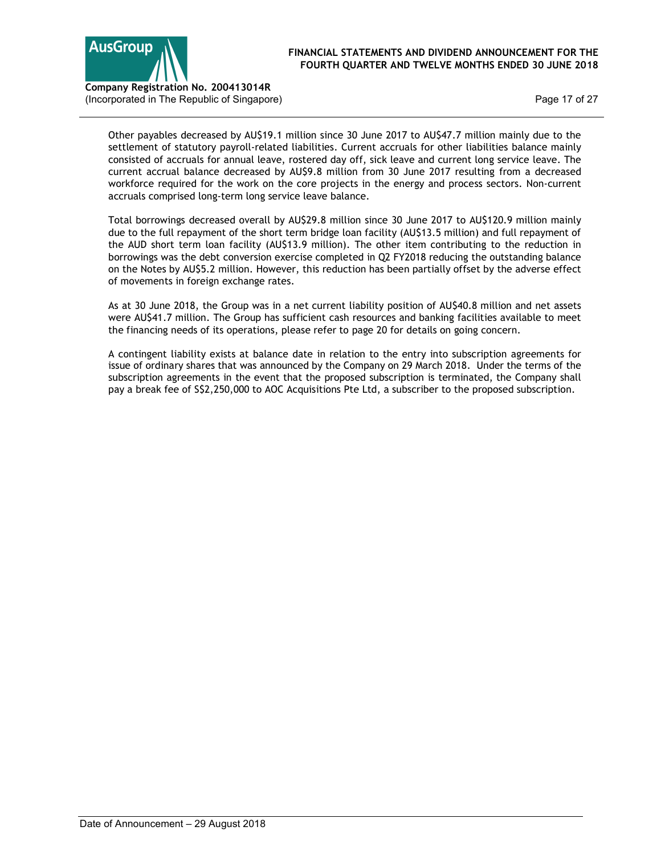

Page 17 of 27

Other payables decreased by AU\$19.1 million since 30 June 2017 to AU\$47.7 million mainly due to the settlement of statutory payroll-related liabilities. Current accruals for other liabilities balance mainly consisted of accruals for annual leave, rostered day off, sick leave and current long service leave. The current accrual balance decreased by AU\$9.8 million from 30 June 2017 resulting from a decreased workforce required for the work on the core projects in the energy and process sectors. Non-current accruals comprised long-term long service leave balance.

Total borrowings decreased overall by AU\$29.8 million since 30 June 2017 to AU\$120.9 million mainly due to the full repayment of the short term bridge loan facility (AU\$13.5 million) and full repayment of the AUD short term loan facility (AU\$13.9 million). The other item contributing to the reduction in borrowings was the debt conversion exercise completed in Q2 FY2018 reducing the outstanding balance on the Notes by AU\$5.2 million. However, this reduction has been partially offset by the adverse effect of movements in foreign exchange rates.

As at 30 June 2018, the Group was in a net current liability position of AU\$40.8 million and net assets were AU\$41.7 million. The Group has sufficient cash resources and banking facilities available to meet the financing needs of its operations, please refer to page 20 for details on going concern.

A contingent liability exists at balance date in relation to the entry into subscription agreements for issue of ordinary shares that was announced by the Company on 29 March 2018. Under the terms of the subscription agreements in the event that the proposed subscription is terminated, the Company shall pay a break fee of S\$2,250,000 to AOC Acquisitions Pte Ltd, a subscriber to the proposed subscription.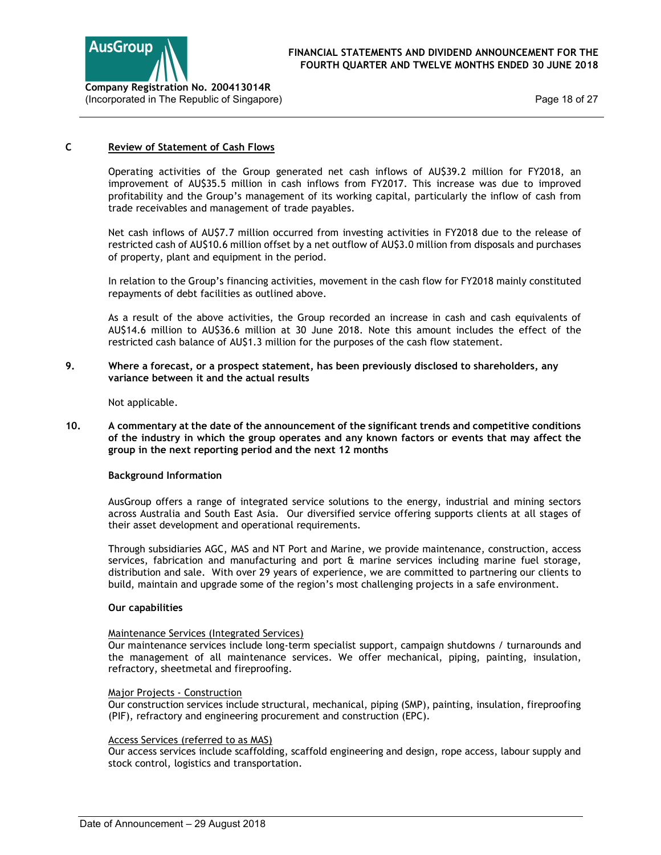

Page 18 of 27

## C Review of Statement of Cash Flows

Operating activities of the Group generated net cash inflows of AU\$39.2 million for FY2018, an improvement of AU\$35.5 million in cash inflows from FY2017. This increase was due to improved profitability and the Group's management of its working capital, particularly the inflow of cash from trade receivables and management of trade payables.

Net cash inflows of AU\$7.7 million occurred from investing activities in FY2018 due to the release of restricted cash of AU\$10.6 million offset by a net outflow of AU\$3.0 million from disposals and purchases of property, plant and equipment in the period.

In relation to the Group's financing activities, movement in the cash flow for FY2018 mainly constituted repayments of debt facilities as outlined above.

As a result of the above activities, the Group recorded an increase in cash and cash equivalents of AU\$14.6 million to AU\$36.6 million at 30 June 2018. Note this amount includes the effect of the restricted cash balance of AU\$1.3 million for the purposes of the cash flow statement.

## 9. Where a forecast, or a prospect statement, has been previously disclosed to shareholders, any variance between it and the actual results

Not applicable.

10. A commentary at the date of the announcement of the significant trends and competitive conditions of the industry in which the group operates and any known factors or events that may affect the group in the next reporting period and the next 12 months

## Background Information

AusGroup offers a range of integrated service solutions to the energy, industrial and mining sectors across Australia and South East Asia. Our diversified service offering supports clients at all stages of their asset development and operational requirements.

Through subsidiaries AGC, MAS and NT Port and Marine, we provide maintenance, construction, access services, fabrication and manufacturing and port & marine services including marine fuel storage, distribution and sale. With over 29 years of experience, we are committed to partnering our clients to build, maintain and upgrade some of the region's most challenging projects in a safe environment.

## Our capabilities

## Maintenance Services (Integrated Services)

Our maintenance services include long-term specialist support, campaign shutdowns / turnarounds and the management of all maintenance services. We offer mechanical, piping, painting, insulation, refractory, sheetmetal and fireproofing.

## Major Projects - Construction

Our construction services include structural, mechanical, piping (SMP), painting, insulation, fireproofing (PIF), refractory and engineering procurement and construction (EPC).

## Access Services (referred to as MAS)

Our access services include scaffolding, scaffold engineering and design, rope access, labour supply and stock control, logistics and transportation.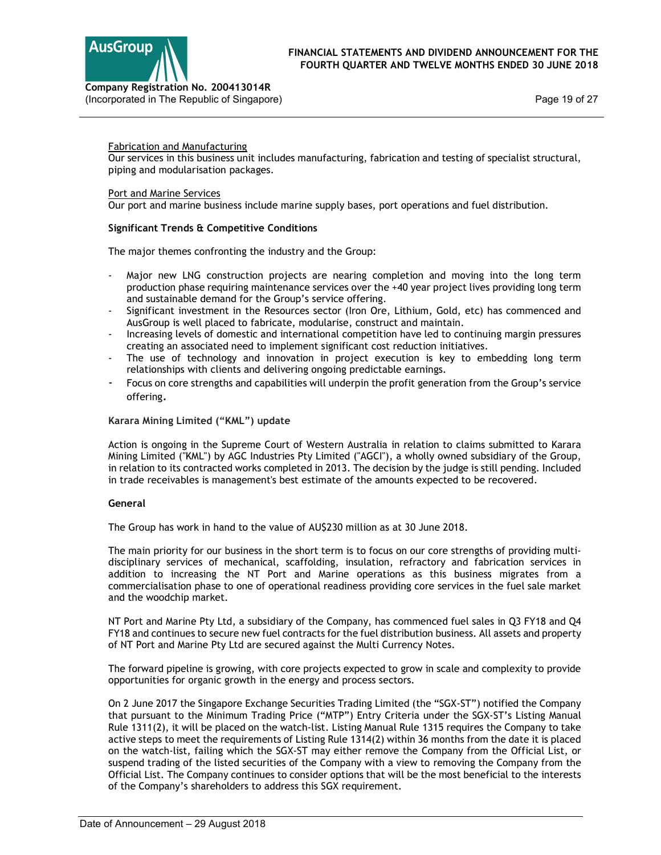



(Incorporated in The Republic of Singapore)

## Fabrication and Manufacturing

Our services in this business unit includes manufacturing, fabrication and testing of specialist structural, piping and modularisation packages.

## Port and Marine Services

Our port and marine business include marine supply bases, port operations and fuel distribution.

## Significant Trends & Competitive Conditions

The major themes confronting the industry and the Group:

- Major new LNG construction projects are nearing completion and moving into the long term production phase requiring maintenance services over the +40 year project lives providing long term and sustainable demand for the Group's service offering.
- Significant investment in the Resources sector (Iron Ore, Lithium, Gold, etc) has commenced and AusGroup is well placed to fabricate, modularise, construct and maintain.
- Increasing levels of domestic and international competition have led to continuing margin pressures creating an associated need to implement significant cost reduction initiatives.
- The use of technology and innovation in project execution is key to embedding long term relationships with clients and delivering ongoing predictable earnings.
- Focus on core strengths and capabilities will underpin the profit generation from the Group's service offering.

## Karara Mining Limited ("KML") update

Action is ongoing in the Supreme Court of Western Australia in relation to claims submitted to Karara Mining Limited ("KML") by AGC Industries Pty Limited ("AGCI"), a wholly owned subsidiary of the Group, in relation to its contracted works completed in 2013. The decision by the judge is still pending. Included in trade receivables is management's best estimate of the amounts expected to be recovered.

## General

The Group has work in hand to the value of AU\$230 million as at 30 June 2018.

The main priority for our business in the short term is to focus on our core strengths of providing multidisciplinary services of mechanical, scaffolding, insulation, refractory and fabrication services in addition to increasing the NT Port and Marine operations as this business migrates from a commercialisation phase to one of operational readiness providing core services in the fuel sale market and the woodchip market.

NT Port and Marine Pty Ltd, a subsidiary of the Company, has commenced fuel sales in Q3 FY18 and Q4 FY18 and continues to secure new fuel contracts for the fuel distribution business. All assets and property of NT Port and Marine Pty Ltd are secured against the Multi Currency Notes.

The forward pipeline is growing, with core projects expected to grow in scale and complexity to provide opportunities for organic growth in the energy and process sectors.

On 2 June 2017 the Singapore Exchange Securities Trading Limited (the "SGX-ST") notified the Company that pursuant to the Minimum Trading Price ("MTP") Entry Criteria under the SGX-ST's Listing Manual Rule 1311(2), it will be placed on the watch-list. Listing Manual Rule 1315 requires the Company to take active steps to meet the requirements of Listing Rule 1314(2) within 36 months from the date it is placed on the watch-list, failing which the SGX-ST may either remove the Company from the Official List, or suspend trading of the listed securities of the Company with a view to removing the Company from the Official List. The Company continues to consider options that will be the most beneficial to the interests of the Company's shareholders to address this SGX requirement.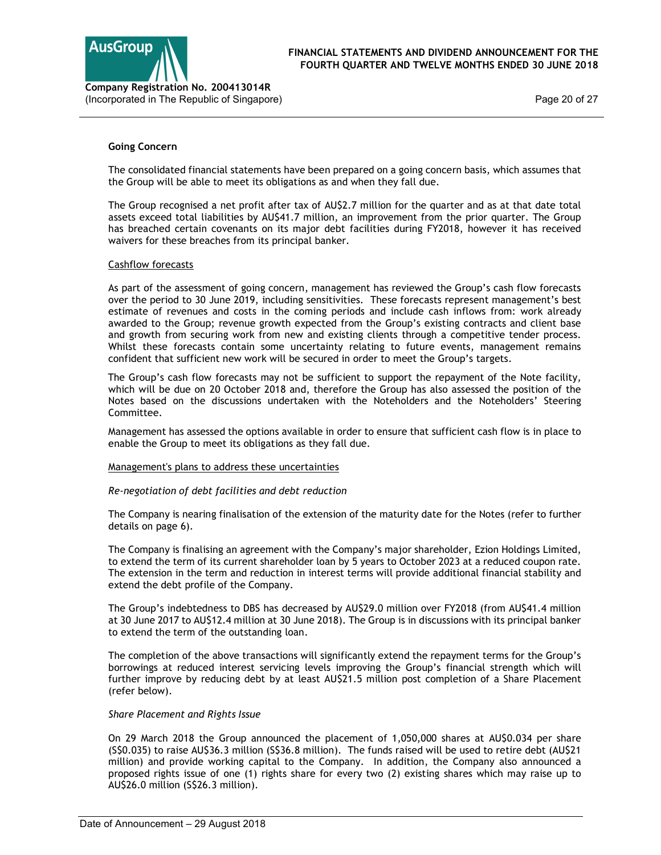

Page 20 of 27

## Going Concern

The consolidated financial statements have been prepared on a going concern basis, which assumes that the Group will be able to meet its obligations as and when they fall due.

The Group recognised a net profit after tax of AU\$2.7 million for the quarter and as at that date total assets exceed total liabilities by AU\$41.7 million, an improvement from the prior quarter. The Group has breached certain covenants on its major debt facilities during FY2018, however it has received waivers for these breaches from its principal banker.

## Cashflow forecasts

As part of the assessment of going concern, management has reviewed the Group's cash flow forecasts over the period to 30 June 2019, including sensitivities. These forecasts represent management's best estimate of revenues and costs in the coming periods and include cash inflows from: work already awarded to the Group; revenue growth expected from the Group's existing contracts and client base and growth from securing work from new and existing clients through a competitive tender process. Whilst these forecasts contain some uncertainty relating to future events, management remains confident that sufficient new work will be secured in order to meet the Group's targets.

The Group's cash flow forecasts may not be sufficient to support the repayment of the Note facility, which will be due on 20 October 2018 and, therefore the Group has also assessed the position of the Notes based on the discussions undertaken with the Noteholders and the Noteholders' Steering Committee.

Management has assessed the options available in order to ensure that sufficient cash flow is in place to enable the Group to meet its obligations as they fall due.

## Management's plans to address these uncertainties

## Re-negotiation of debt facilities and debt reduction

The Company is nearing finalisation of the extension of the maturity date for the Notes (refer to further details on page 6).

The Company is finalising an agreement with the Company's major shareholder, Ezion Holdings Limited, to extend the term of its current shareholder loan by 5 years to October 2023 at a reduced coupon rate. The extension in the term and reduction in interest terms will provide additional financial stability and extend the debt profile of the Company.

The Group's indebtedness to DBS has decreased by AU\$29.0 million over FY2018 (from AU\$41.4 million at 30 June 2017 to AU\$12.4 million at 30 June 2018). The Group is in discussions with its principal banker to extend the term of the outstanding loan.

The completion of the above transactions will significantly extend the repayment terms for the Group's borrowings at reduced interest servicing levels improving the Group's financial strength which will further improve by reducing debt by at least AU\$21.5 million post completion of a Share Placement (refer below).

#### Share Placement and Rights Issue

On 29 March 2018 the Group announced the placement of 1,050,000 shares at AU\$0.034 per share (S\$0.035) to raise AU\$36.3 million (S\$36.8 million). The funds raised will be used to retire debt (AU\$21 million) and provide working capital to the Company. In addition, the Company also announced a proposed rights issue of one (1) rights share for every two (2) existing shares which may raise up to AU\$26.0 million (S\$26.3 million).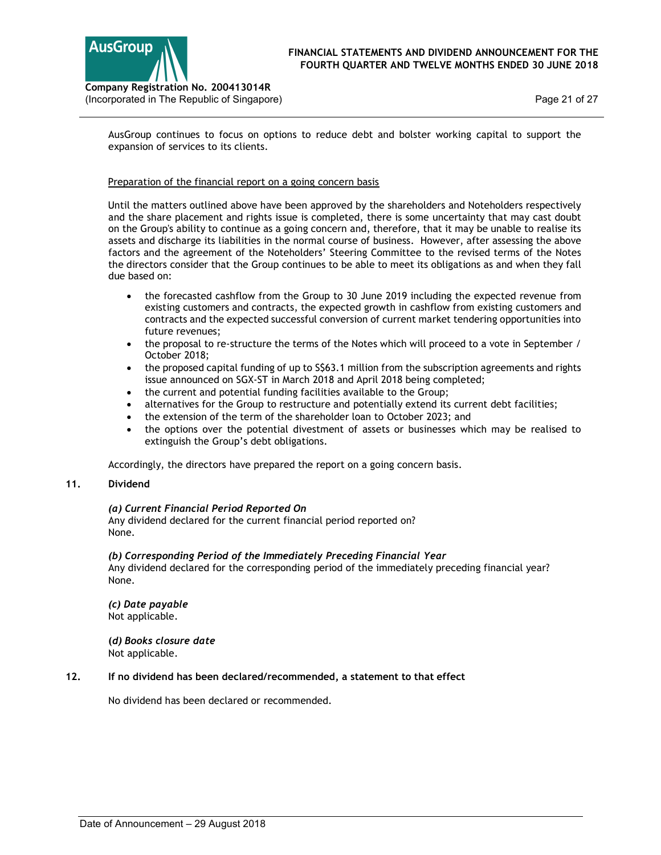



AusGroup continues to focus on options to reduce debt and bolster working capital to support the expansion of services to its clients.

## Preparation of the financial report on a going concern basis

Until the matters outlined above have been approved by the shareholders and Noteholders respectively and the share placement and rights issue is completed, there is some uncertainty that may cast doubt on the Group's ability to continue as a going concern and, therefore, that it may be unable to realise its assets and discharge its liabilities in the normal course of business. However, after assessing the above factors and the agreement of the Noteholders' Steering Committee to the revised terms of the Notes the directors consider that the Group continues to be able to meet its obligations as and when they fall due based on:

- the forecasted cashflow from the Group to 30 June 2019 including the expected revenue from existing customers and contracts, the expected growth in cashflow from existing customers and contracts and the expected successful conversion of current market tendering opportunities into future revenues;
- the proposal to re-structure the terms of the Notes which will proceed to a vote in September / October 2018;
- the proposed capital funding of up to S\$63.1 million from the subscription agreements and rights issue announced on SGX-ST in March 2018 and April 2018 being completed;
- the current and potential funding facilities available to the Group;
- alternatives for the Group to restructure and potentially extend its current debt facilities;
- the extension of the term of the shareholder loan to October 2023; and
- the options over the potential divestment of assets or businesses which may be realised to extinguish the Group's debt obligations.

Accordingly, the directors have prepared the report on a going concern basis.

## 11. Dividend

## (a) Current Financial Period Reported On

 Any dividend declared for the current financial period reported on? None.

#### (b) Corresponding Period of the Immediately Preceding Financial Year

 Any dividend declared for the corresponding period of the immediately preceding financial year? None.

## (c) Date payable Not applicable.

 (d) Books closure date Not applicable.

## 12. If no dividend has been declared/recommended, a statement to that effect

No dividend has been declared or recommended.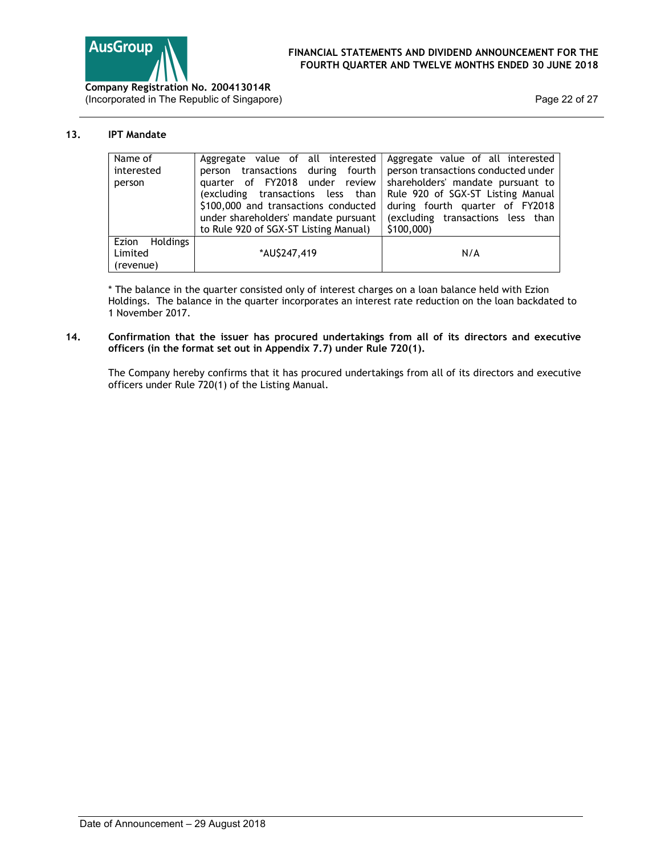

(Incorporated in The Republic of Singapore)

Page 22 of 27

## 13. IPT Mandate

| Name of                  | Aggregate value of all interested     | Aggregate value of all interested   |
|--------------------------|---------------------------------------|-------------------------------------|
| interested               | transactions during fourth<br>person  | person transactions conducted under |
| person                   | quarter of FY2018 under review        | shareholders' mandate pursuant to   |
|                          | (excluding transactions less than     | Rule 920 of SGX-ST Listing Manual   |
|                          | \$100,000 and transactions conducted  | during fourth quarter of FY2018     |
|                          | under shareholders' mandate pursuant  | (excluding transactions less than   |
|                          | to Rule 920 of SGX-ST Listing Manual) | \$100,000                           |
| Ezion<br><b>Holdings</b> |                                       |                                     |
| Limited                  | *AU\$247,419                          | N/A                                 |
| (revenue)                |                                       |                                     |

\* The balance in the quarter consisted only of interest charges on a loan balance held with Ezion Holdings. The balance in the quarter incorporates an interest rate reduction on the loan backdated to 1 November 2017.

## 14. Confirmation that the issuer has procured undertakings from all of its directors and executive officers (in the format set out in Appendix 7.7) under Rule 720(1).

The Company hereby confirms that it has procured undertakings from all of its directors and executive officers under Rule 720(1) of the Listing Manual.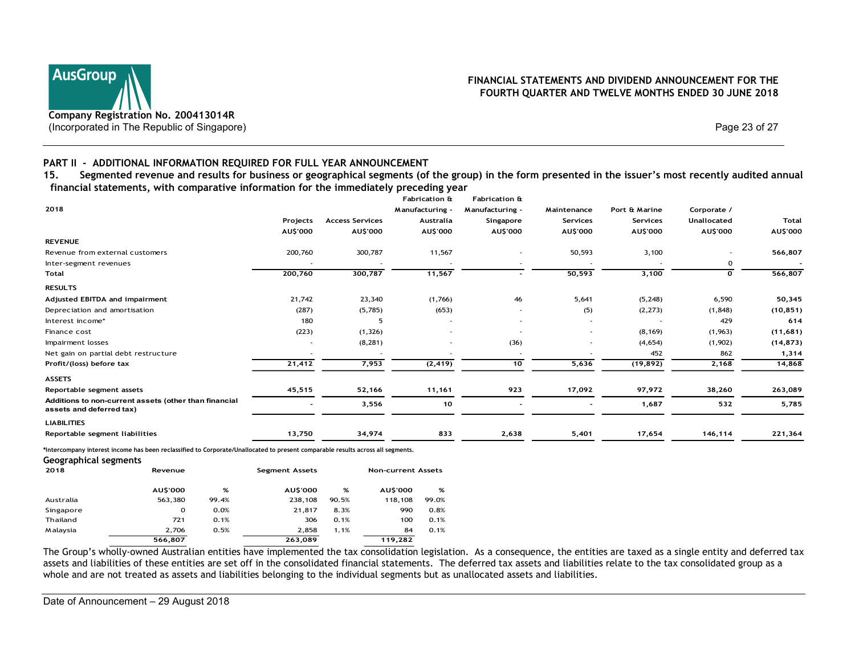# Company Registration No. 200413014R (Incorporated in The Republic of Singapore) Page 23 of 27

## FINANCIAL STATEMENTS AND DIVIDEND ANNOUNCEMENT FOR THE FOURTH QUARTER AND TWELVE MONTHS ENDED 30 JUNE 2018

## PART II - ADDITIONAL INFORMATION REQUIRED FOR FULL YEAR ANNOUNCEMENT

| Company Registration No. 200413014R<br>(Incorporated in The Republic of Singapore)                                                                                                                                                                                                                                            |                       |                        |                            |                          |             |               | FOURTH QUARTER AND TWELVE MONTHS ENDED 30 JUNE 2018 | FINANCIAL STATEMENTS AND DIVIDEND ANNOUNCEMENT FOR THE |
|-------------------------------------------------------------------------------------------------------------------------------------------------------------------------------------------------------------------------------------------------------------------------------------------------------------------------------|-----------------------|------------------------|----------------------------|--------------------------|-------------|---------------|-----------------------------------------------------|--------------------------------------------------------|
|                                                                                                                                                                                                                                                                                                                               |                       |                        |                            |                          |             |               | Page 23 of 27                                       |                                                        |
| PART II - ADDITIONAL INFORMATION REQUIRED FOR FULL YEAR ANNOUNCEMENT<br>15.<br>Segmented revenue and results for business or geographical segments (of the group) in the form presented in the issuer's most recently audited annual<br>financial statements, with comparative information for the immediately preceding year |                       |                        | <b>Fabrication &amp;</b>   | <b>Fabrication &amp;</b> |             |               |                                                     |                                                        |
| 2018                                                                                                                                                                                                                                                                                                                          |                       |                        | Manufacturing -            | Manufacturing -          | Maintenance | Port & Marine | Corporate /                                         |                                                        |
|                                                                                                                                                                                                                                                                                                                               | Projects              | <b>Access Services</b> | Australia                  | Singapore                | Services    | Services      | Unallocated                                         | <b>Total</b>                                           |
| <b>REVENUE</b>                                                                                                                                                                                                                                                                                                                | AU\$'000              | AU\$'000               | AU\$'000                   | <b>AU\$'000</b>          | AU\$'000    | AU\$'000      | AU\$'000                                            | AU\$'000                                               |
| Revenue from external customers                                                                                                                                                                                                                                                                                               | 200,760               | 300,787                | 11,567                     |                          | 50,593      | 3,100         |                                                     | 566,807                                                |
| Inter-segment revenues                                                                                                                                                                                                                                                                                                        |                       |                        |                            |                          |             |               | $\mathbf 0$                                         |                                                        |
| Total                                                                                                                                                                                                                                                                                                                         | 200,760               | 300,787                | 11,567                     |                          | 50,593      | 3,100         | $\mathbf{o}$                                        | 566,807                                                |
| <b>RESULTS</b>                                                                                                                                                                                                                                                                                                                |                       |                        |                            |                          |             |               |                                                     |                                                        |
| Adjusted EBITDA and impairment                                                                                                                                                                                                                                                                                                | 21,742                | 23,340                 | (1,766)                    | 46                       | 5,641       | (5,248)       | 6,590                                               | 50,345                                                 |
| Depreciation and amortisation                                                                                                                                                                                                                                                                                                 | (287)                 | (5,785)                | (653)                      |                          | (5)         | (2, 273)      | (1,848)                                             | (10, 851)                                              |
| Interest income*                                                                                                                                                                                                                                                                                                              | 180                   | 5                      |                            |                          |             |               | 429                                                 | 614                                                    |
| Finance cost                                                                                                                                                                                                                                                                                                                  | (223)                 | (1, 326)               |                            |                          |             | (8, 169)      | (1,963)                                             | (11,681)                                               |
| Impairment losses                                                                                                                                                                                                                                                                                                             |                       | (8, 281)               |                            | (36)                     |             | (4,654)       | (1,902)                                             | (14, 873)                                              |
| Net gain on partial debt restructure                                                                                                                                                                                                                                                                                          |                       |                        |                            |                          |             | 452           | 862                                                 | 1,314                                                  |
| Profit/(loss) before tax                                                                                                                                                                                                                                                                                                      | 21,412                | 7,953                  | (2, 419)                   | $\overline{10}$          | 5,636       | (19, 892)     | 2,168                                               | 14,868                                                 |
| ASSETS                                                                                                                                                                                                                                                                                                                        |                       |                        |                            |                          |             |               |                                                     |                                                        |
| Reportable segment assets                                                                                                                                                                                                                                                                                                     | 45,515                | 52,166                 | 11,161                     | 923                      | 17,092      | 97,972        | 38,260                                              | 263,089                                                |
| Additions to non-current assets (other than financial<br>assets and deferred tax)                                                                                                                                                                                                                                             |                       | 3,556                  | 10                         |                          |             | 1,687         | 532                                                 | 5,785                                                  |
| <b>LIABILITIES</b>                                                                                                                                                                                                                                                                                                            |                       |                        |                            |                          |             |               |                                                     |                                                        |
|                                                                                                                                                                                                                                                                                                                               | 13,750                | 34,974                 | 833                        | 2,638                    | 5,401       | 17,654        | 146,114                                             | 221,364                                                |
| Reportable segment liabilities                                                                                                                                                                                                                                                                                                |                       |                        |                            |                          |             |               |                                                     |                                                        |
| *Intercompany interest income has been reclassified to Corporate/Unallocated to present comparable results across all segments.<br>Geographical segments                                                                                                                                                                      |                       |                        |                            |                          |             |               |                                                     |                                                        |
| 2018<br>Revenue                                                                                                                                                                                                                                                                                                               | <b>Segment Assets</b> |                        | <b>Non-current Assets</b>  |                          |             |               |                                                     |                                                        |
|                                                                                                                                                                                                                                                                                                                               |                       |                        |                            |                          |             |               |                                                     |                                                        |
| <b>AU\$'000</b><br>%                                                                                                                                                                                                                                                                                                          | <b>AU\$'000</b>       | %                      | <b>AU\$'000</b><br>%       |                          |             |               |                                                     |                                                        |
| 563,380<br>99.4%<br>Australia<br>$\mathbf 0$                                                                                                                                                                                                                                                                                  | 238,108               | 90.5%                  | 118,108<br>99.0%           |                          |             |               |                                                     |                                                        |
| 0.0%<br>Singapore<br>721<br>0.1%<br>Thailand                                                                                                                                                                                                                                                                                  | 21,817<br>306         | 8.3%<br>0.1%           | 990<br>0.8%<br>100<br>0.1% |                          |             |               |                                                     |                                                        |
| 2,706<br>0.5%<br>M alaysia                                                                                                                                                                                                                                                                                                    | 2,858                 | 1.1%                   | 84<br>0.1%                 |                          |             |               |                                                     |                                                        |
| 566,807                                                                                                                                                                                                                                                                                                                       | 263,089               |                        | 119,282                    |                          |             |               |                                                     |                                                        |

#### Geographical segments

| 2018      | Revenue        |       | <b>Segment Assets</b> |       | <b>Non-current Assets</b> |       |
|-----------|----------------|-------|-----------------------|-------|---------------------------|-------|
|           | <b>AUS'000</b> | %     | <b>AUS'000</b>        | %     | <b>AUS'000</b>            | %     |
| Australia | 563,380        | 99.4% | 238,108               | 90.5% | 118,108                   | 99.0% |
| Singapore | 0              | 0.0%  | 21,817                | 8.3%  | 990                       | 0.8%  |
| Thailand  | 721            | 0.1%  | 306                   | 0.1%  | 100                       | 0.1%  |
| Malaysia  | 2.706          | 0.5%  | 2.858                 | 1.1%  | 84                        | 0.1%  |
|           | 566,807        |       | 263,089               |       | 119,282                   |       |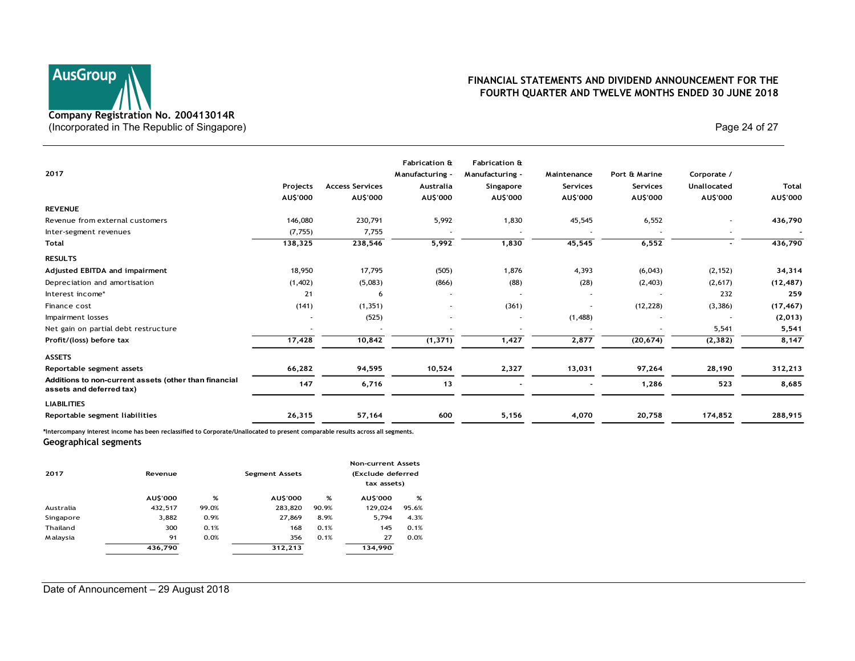# Company Registration No. 200413014R (Incorporated in The Republic of Singapore) and the extra set of 27 and 24 of 27 and 24 of 27 and 27 and 28 of 27 and 27 and 28 of 27 and 28 of 27 and 28 of 27 and 28 of 27 and 28 of 27 and 28 of 27 and 28 of 27 and 28 of

## FINANCIAL STATEMENTS AND DIVIDEND ANNOUNCEMENT FOR THE FOURTH QUARTER AND TWELVE MONTHS ENDED 30 JUNE 2018

| Page 24 of 27<br>(Incorporated in The Republic of Singapore)<br><b>Fabrication &amp;</b><br>Fabrication &<br>Manufacturing -<br>Manufacturing -<br>Port & Marine<br>Corporate /<br>Maintenance<br><b>Access Services</b><br>Unallocated<br>Total<br>Projects<br>Australia<br>Singapore<br>Services<br>Services<br>AU\$'000<br>AU\$'000<br>AU\$'000<br>AU\$'000<br><b>AU\$'000</b><br><b>AU\$'000</b><br><b>AU\$'000</b><br>AU\$'000<br>6,552<br>230,791<br>5,992<br>1,830<br>45,545<br>146,080<br>(7, 755)<br>7,755<br>6,552<br>5,992<br>1,830<br>45,545<br>138,325<br>238,546<br>436,790<br>$\blacksquare$<br>17,795<br>(2, 152)<br>18,950<br>(505)<br>1,876<br>4,393<br>(6,043)<br>(88)<br>(1,402)<br>(5,083)<br>(866)<br>(28)<br>(2,403)<br>(2,617)<br>21<br>232<br>259<br>6<br>$\sim$<br>$\sim$<br>$\sim$<br>$\overline{\phantom{a}}$<br>(361)<br>(12, 228)<br>(17, 467)<br>(141)<br>(1, 351)<br>(3, 386)<br>$\sim$<br>$\sim$<br>(525)<br>(1,488)<br>(2,013)<br>$\sim$<br>$\overline{\phantom{a}}$<br>$\sim$<br>$\sim$<br>$\overline{\phantom{a}}$<br>5,541<br>5,541<br>10,842<br>1,427<br>2,877<br>(2, 382)<br>8,147<br>17,428<br>(1, 371)<br>(20, 674)<br>66,282<br>94,595<br>10,524<br>2,327<br>13,031<br>97,264<br>28,190<br>312,213<br>147<br>6,716<br>13<br>523<br>8,685<br>1,286<br>$\sim$<br>$\sim$<br>57,164<br>5,156<br>4,070<br>174,852<br>26,315<br>600<br>20,758<br><b>Non-current Assets</b><br>(Exclude deferred<br>Revenue<br><b>Segment Assets</b><br>tax assets)<br>AU\$'000<br>AU\$'000<br>%<br><b>AU\$'000</b><br>%<br>%<br>432,517<br>99.0%<br>283,820<br>90.9%<br>129,024<br>95.6%<br>3,882<br>5,794<br>4.3%<br>0.9%<br>27,869<br>8.9%<br>168<br>145<br>0.1%<br>300<br>0.1%<br>0.1%<br>356<br>91<br>0.0%<br>0.1%<br>27<br>0.0%<br>312,213<br>436,790<br>134,990 | <b>AusGroup</b><br>Company Registration No. 200413014R |  |  |  | FINANCIAL STATEMENTS AND DIVIDEND ANNOUNCEMENT FOR THE<br>FOURTH QUARTER AND TWELVE MONTHS ENDED 30 JUNE 2018 |           |
|-------------------------------------------------------------------------------------------------------------------------------------------------------------------------------------------------------------------------------------------------------------------------------------------------------------------------------------------------------------------------------------------------------------------------------------------------------------------------------------------------------------------------------------------------------------------------------------------------------------------------------------------------------------------------------------------------------------------------------------------------------------------------------------------------------------------------------------------------------------------------------------------------------------------------------------------------------------------------------------------------------------------------------------------------------------------------------------------------------------------------------------------------------------------------------------------------------------------------------------------------------------------------------------------------------------------------------------------------------------------------------------------------------------------------------------------------------------------------------------------------------------------------------------------------------------------------------------------------------------------------------------------------------------------------------------------------------------------------------------------------------------------------------------------|--------------------------------------------------------|--|--|--|---------------------------------------------------------------------------------------------------------------|-----------|
| 2017<br><b>REVENUE</b><br>Revenue from external customers<br>Inter-segment revenues<br>Total<br><b>RESULTS</b><br>Adjusted EBITDA and impairment<br>Depreciation and amortisation<br>Interest income*<br>Finance cost<br>Impairment losses<br>Net gain on partial debt restructure<br>Profit/(loss) before tax<br><b>ASSETS</b><br>Reportable segment assets<br>Additions to non-current assets (other than financial<br>assets and deferred tax)<br><b>LIABILITIES</b><br>Reportable segment liabilities<br>*Intercompany interest income has been reclassified to Corporate/Unallocated to present comparable results across all segments.<br>Geographical segments<br>2017<br>Australia<br>Singapore<br>Thailand<br>Malaysia<br>Date of Announcement - 29 August 2018                                                                                                                                                                                                                                                                                                                                                                                                                                                                                                                                                                                                                                                                                                                                                                                                                                                                                                                                                                                                                  |                                                        |  |  |  |                                                                                                               |           |
|                                                                                                                                                                                                                                                                                                                                                                                                                                                                                                                                                                                                                                                                                                                                                                                                                                                                                                                                                                                                                                                                                                                                                                                                                                                                                                                                                                                                                                                                                                                                                                                                                                                                                                                                                                                           |                                                        |  |  |  |                                                                                                               |           |
|                                                                                                                                                                                                                                                                                                                                                                                                                                                                                                                                                                                                                                                                                                                                                                                                                                                                                                                                                                                                                                                                                                                                                                                                                                                                                                                                                                                                                                                                                                                                                                                                                                                                                                                                                                                           |                                                        |  |  |  |                                                                                                               |           |
|                                                                                                                                                                                                                                                                                                                                                                                                                                                                                                                                                                                                                                                                                                                                                                                                                                                                                                                                                                                                                                                                                                                                                                                                                                                                                                                                                                                                                                                                                                                                                                                                                                                                                                                                                                                           |                                                        |  |  |  |                                                                                                               | 436,790   |
|                                                                                                                                                                                                                                                                                                                                                                                                                                                                                                                                                                                                                                                                                                                                                                                                                                                                                                                                                                                                                                                                                                                                                                                                                                                                                                                                                                                                                                                                                                                                                                                                                                                                                                                                                                                           |                                                        |  |  |  |                                                                                                               |           |
|                                                                                                                                                                                                                                                                                                                                                                                                                                                                                                                                                                                                                                                                                                                                                                                                                                                                                                                                                                                                                                                                                                                                                                                                                                                                                                                                                                                                                                                                                                                                                                                                                                                                                                                                                                                           |                                                        |  |  |  |                                                                                                               |           |
|                                                                                                                                                                                                                                                                                                                                                                                                                                                                                                                                                                                                                                                                                                                                                                                                                                                                                                                                                                                                                                                                                                                                                                                                                                                                                                                                                                                                                                                                                                                                                                                                                                                                                                                                                                                           |                                                        |  |  |  |                                                                                                               |           |
|                                                                                                                                                                                                                                                                                                                                                                                                                                                                                                                                                                                                                                                                                                                                                                                                                                                                                                                                                                                                                                                                                                                                                                                                                                                                                                                                                                                                                                                                                                                                                                                                                                                                                                                                                                                           |                                                        |  |  |  |                                                                                                               | 34,314    |
|                                                                                                                                                                                                                                                                                                                                                                                                                                                                                                                                                                                                                                                                                                                                                                                                                                                                                                                                                                                                                                                                                                                                                                                                                                                                                                                                                                                                                                                                                                                                                                                                                                                                                                                                                                                           |                                                        |  |  |  |                                                                                                               | (12, 487) |
|                                                                                                                                                                                                                                                                                                                                                                                                                                                                                                                                                                                                                                                                                                                                                                                                                                                                                                                                                                                                                                                                                                                                                                                                                                                                                                                                                                                                                                                                                                                                                                                                                                                                                                                                                                                           |                                                        |  |  |  |                                                                                                               |           |
|                                                                                                                                                                                                                                                                                                                                                                                                                                                                                                                                                                                                                                                                                                                                                                                                                                                                                                                                                                                                                                                                                                                                                                                                                                                                                                                                                                                                                                                                                                                                                                                                                                                                                                                                                                                           |                                                        |  |  |  |                                                                                                               |           |
|                                                                                                                                                                                                                                                                                                                                                                                                                                                                                                                                                                                                                                                                                                                                                                                                                                                                                                                                                                                                                                                                                                                                                                                                                                                                                                                                                                                                                                                                                                                                                                                                                                                                                                                                                                                           |                                                        |  |  |  |                                                                                                               |           |
|                                                                                                                                                                                                                                                                                                                                                                                                                                                                                                                                                                                                                                                                                                                                                                                                                                                                                                                                                                                                                                                                                                                                                                                                                                                                                                                                                                                                                                                                                                                                                                                                                                                                                                                                                                                           |                                                        |  |  |  |                                                                                                               |           |
|                                                                                                                                                                                                                                                                                                                                                                                                                                                                                                                                                                                                                                                                                                                                                                                                                                                                                                                                                                                                                                                                                                                                                                                                                                                                                                                                                                                                                                                                                                                                                                                                                                                                                                                                                                                           |                                                        |  |  |  |                                                                                                               |           |
|                                                                                                                                                                                                                                                                                                                                                                                                                                                                                                                                                                                                                                                                                                                                                                                                                                                                                                                                                                                                                                                                                                                                                                                                                                                                                                                                                                                                                                                                                                                                                                                                                                                                                                                                                                                           |                                                        |  |  |  |                                                                                                               |           |
|                                                                                                                                                                                                                                                                                                                                                                                                                                                                                                                                                                                                                                                                                                                                                                                                                                                                                                                                                                                                                                                                                                                                                                                                                                                                                                                                                                                                                                                                                                                                                                                                                                                                                                                                                                                           |                                                        |  |  |  |                                                                                                               |           |
|                                                                                                                                                                                                                                                                                                                                                                                                                                                                                                                                                                                                                                                                                                                                                                                                                                                                                                                                                                                                                                                                                                                                                                                                                                                                                                                                                                                                                                                                                                                                                                                                                                                                                                                                                                                           |                                                        |  |  |  |                                                                                                               |           |
|                                                                                                                                                                                                                                                                                                                                                                                                                                                                                                                                                                                                                                                                                                                                                                                                                                                                                                                                                                                                                                                                                                                                                                                                                                                                                                                                                                                                                                                                                                                                                                                                                                                                                                                                                                                           |                                                        |  |  |  |                                                                                                               |           |
|                                                                                                                                                                                                                                                                                                                                                                                                                                                                                                                                                                                                                                                                                                                                                                                                                                                                                                                                                                                                                                                                                                                                                                                                                                                                                                                                                                                                                                                                                                                                                                                                                                                                                                                                                                                           |                                                        |  |  |  |                                                                                                               | 288,915   |
|                                                                                                                                                                                                                                                                                                                                                                                                                                                                                                                                                                                                                                                                                                                                                                                                                                                                                                                                                                                                                                                                                                                                                                                                                                                                                                                                                                                                                                                                                                                                                                                                                                                                                                                                                                                           |                                                        |  |  |  |                                                                                                               |           |
|                                                                                                                                                                                                                                                                                                                                                                                                                                                                                                                                                                                                                                                                                                                                                                                                                                                                                                                                                                                                                                                                                                                                                                                                                                                                                                                                                                                                                                                                                                                                                                                                                                                                                                                                                                                           |                                                        |  |  |  |                                                                                                               |           |
|                                                                                                                                                                                                                                                                                                                                                                                                                                                                                                                                                                                                                                                                                                                                                                                                                                                                                                                                                                                                                                                                                                                                                                                                                                                                                                                                                                                                                                                                                                                                                                                                                                                                                                                                                                                           |                                                        |  |  |  |                                                                                                               |           |
|                                                                                                                                                                                                                                                                                                                                                                                                                                                                                                                                                                                                                                                                                                                                                                                                                                                                                                                                                                                                                                                                                                                                                                                                                                                                                                                                                                                                                                                                                                                                                                                                                                                                                                                                                                                           |                                                        |  |  |  |                                                                                                               |           |
|                                                                                                                                                                                                                                                                                                                                                                                                                                                                                                                                                                                                                                                                                                                                                                                                                                                                                                                                                                                                                                                                                                                                                                                                                                                                                                                                                                                                                                                                                                                                                                                                                                                                                                                                                                                           |                                                        |  |  |  |                                                                                                               |           |
|                                                                                                                                                                                                                                                                                                                                                                                                                                                                                                                                                                                                                                                                                                                                                                                                                                                                                                                                                                                                                                                                                                                                                                                                                                                                                                                                                                                                                                                                                                                                                                                                                                                                                                                                                                                           |                                                        |  |  |  |                                                                                                               |           |
|                                                                                                                                                                                                                                                                                                                                                                                                                                                                                                                                                                                                                                                                                                                                                                                                                                                                                                                                                                                                                                                                                                                                                                                                                                                                                                                                                                                                                                                                                                                                                                                                                                                                                                                                                                                           |                                                        |  |  |  |                                                                                                               |           |
|                                                                                                                                                                                                                                                                                                                                                                                                                                                                                                                                                                                                                                                                                                                                                                                                                                                                                                                                                                                                                                                                                                                                                                                                                                                                                                                                                                                                                                                                                                                                                                                                                                                                                                                                                                                           |                                                        |  |  |  |                                                                                                               |           |
|                                                                                                                                                                                                                                                                                                                                                                                                                                                                                                                                                                                                                                                                                                                                                                                                                                                                                                                                                                                                                                                                                                                                                                                                                                                                                                                                                                                                                                                                                                                                                                                                                                                                                                                                                                                           |                                                        |  |  |  |                                                                                                               |           |
|                                                                                                                                                                                                                                                                                                                                                                                                                                                                                                                                                                                                                                                                                                                                                                                                                                                                                                                                                                                                                                                                                                                                                                                                                                                                                                                                                                                                                                                                                                                                                                                                                                                                                                                                                                                           |                                                        |  |  |  |                                                                                                               |           |
|                                                                                                                                                                                                                                                                                                                                                                                                                                                                                                                                                                                                                                                                                                                                                                                                                                                                                                                                                                                                                                                                                                                                                                                                                                                                                                                                                                                                                                                                                                                                                                                                                                                                                                                                                                                           |                                                        |  |  |  |                                                                                                               |           |

|           |                 |       |                       |       | <b>Non-current Assets</b> |       |
|-----------|-----------------|-------|-----------------------|-------|---------------------------|-------|
| 2017      | Revenue         |       | <b>Segment Assets</b> |       | (Exclude deferred         |       |
|           |                 |       |                       |       | tax assets)               |       |
|           | <b>AU\$'000</b> | %     | <b>AUS'000</b>        | %     | <b>AUS'000</b>            | %     |
| Australia | 432,517         | 99.0% | 283,820               | 90.9% | 129,024                   | 95.6% |
| Singapore | 3,882           | 0.9%  | 27,869                | 8.9%  | 5.794                     | 4.3%  |
| Thailand  | 300             | 0.1%  | 168                   | 0.1%  | 145                       | 0.1%  |
| Malaysia  | 91              | 0.0%  | 356                   | 0.1%  | 27                        | 0.0%  |
|           | 436,790         |       | 312.213               |       | 134,990                   |       |
|           |                 |       |                       |       |                           |       |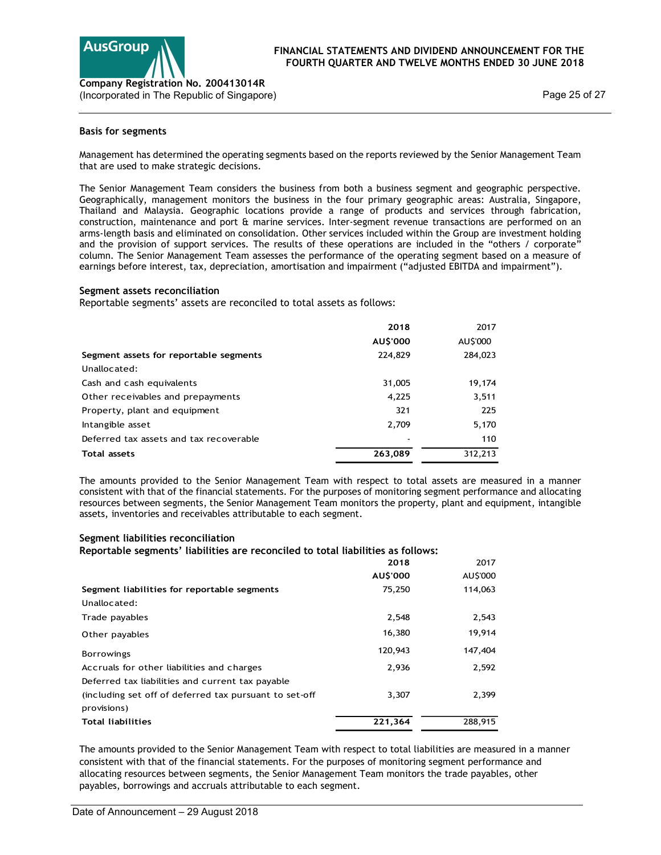

## Basis for segments

#### Segment assets reconciliation

| $\blacksquare$<br>Company Registration No. 200413014R<br>(Incorporated in The Republic of Singapore)                                                                                                                                                                                                                                                                                                                                                                                                                                                                                                                                                                                                                                                                                                                                                                                                                                                            |          |          | Page 25 of 27 |
|-----------------------------------------------------------------------------------------------------------------------------------------------------------------------------------------------------------------------------------------------------------------------------------------------------------------------------------------------------------------------------------------------------------------------------------------------------------------------------------------------------------------------------------------------------------------------------------------------------------------------------------------------------------------------------------------------------------------------------------------------------------------------------------------------------------------------------------------------------------------------------------------------------------------------------------------------------------------|----------|----------|---------------|
| Basis for segments                                                                                                                                                                                                                                                                                                                                                                                                                                                                                                                                                                                                                                                                                                                                                                                                                                                                                                                                              |          |          |               |
| Management has determined the operating segments based on the reports reviewed by the Senior Management Team<br>that are used to make strategic decisions.                                                                                                                                                                                                                                                                                                                                                                                                                                                                                                                                                                                                                                                                                                                                                                                                      |          |          |               |
| The Senior Management Team considers the business from both a business segment and geographic perspective.<br>Geographically, management monitors the business in the four primary geographic areas: Australia, Singapore,<br>Thailand and Malaysia. Geographic locations provide a range of products and services through fabrication,<br>construction, maintenance and port & marine services. Inter-segment revenue transactions are performed on an<br>arms-length basis and eliminated on consolidation. Other services included within the Group are investment holding<br>and the provision of support services. The results of these operations are included in the "others / corporate"<br>column. The Senior Management Team assesses the performance of the operating segment based on a measure of<br>earnings before interest, tax, depreciation, amortisation and impairment ("adjusted EBITDA and impairment").<br>Segment assets reconciliation |          |          |               |
| Reportable segments' assets are reconciled to total assets as follows:                                                                                                                                                                                                                                                                                                                                                                                                                                                                                                                                                                                                                                                                                                                                                                                                                                                                                          |          |          |               |
|                                                                                                                                                                                                                                                                                                                                                                                                                                                                                                                                                                                                                                                                                                                                                                                                                                                                                                                                                                 | 2018     | 2017     |               |
|                                                                                                                                                                                                                                                                                                                                                                                                                                                                                                                                                                                                                                                                                                                                                                                                                                                                                                                                                                 | AU\$'000 | AU\$'000 |               |
| Segment assets for reportable segments<br>Unallocated:                                                                                                                                                                                                                                                                                                                                                                                                                                                                                                                                                                                                                                                                                                                                                                                                                                                                                                          | 224,829  | 284,023  |               |
| Cash and cash equivalents                                                                                                                                                                                                                                                                                                                                                                                                                                                                                                                                                                                                                                                                                                                                                                                                                                                                                                                                       | 31,005   | 19,174   |               |
| Other receivables and prepayments                                                                                                                                                                                                                                                                                                                                                                                                                                                                                                                                                                                                                                                                                                                                                                                                                                                                                                                               | 4,225    | 3,511    |               |
| Property, plant and equipment                                                                                                                                                                                                                                                                                                                                                                                                                                                                                                                                                                                                                                                                                                                                                                                                                                                                                                                                   | 321      | 225      |               |
| Intangible asset                                                                                                                                                                                                                                                                                                                                                                                                                                                                                                                                                                                                                                                                                                                                                                                                                                                                                                                                                | 2,709    | 5,170    |               |
| Deferred tax assets and tax recoverable                                                                                                                                                                                                                                                                                                                                                                                                                                                                                                                                                                                                                                                                                                                                                                                                                                                                                                                         |          | 110      |               |
| <b>Total assets</b>                                                                                                                                                                                                                                                                                                                                                                                                                                                                                                                                                                                                                                                                                                                                                                                                                                                                                                                                             | 263,089  | 312,213  |               |
| The amounts provided to the Senior Management Team with respect to total assets are measured in a manner<br>consistent with that of the financial statements. For the purposes of monitoring segment performance and allocating<br>resources between segments, the Senior Management Team monitors the property, plant and equipment, intangible<br>assets, inventories and receivables attributable to each segment.                                                                                                                                                                                                                                                                                                                                                                                                                                                                                                                                           |          |          |               |
| Segment liabilities reconciliation<br>Reportable segments' liabilities are reconciled to total liabilities as follows:                                                                                                                                                                                                                                                                                                                                                                                                                                                                                                                                                                                                                                                                                                                                                                                                                                          |          |          |               |
|                                                                                                                                                                                                                                                                                                                                                                                                                                                                                                                                                                                                                                                                                                                                                                                                                                                                                                                                                                 | 2018     | 2017     |               |
|                                                                                                                                                                                                                                                                                                                                                                                                                                                                                                                                                                                                                                                                                                                                                                                                                                                                                                                                                                 | AU\$'000 | AU\$'000 |               |
| Segment liabilities for reportable segments<br>Unallocated:                                                                                                                                                                                                                                                                                                                                                                                                                                                                                                                                                                                                                                                                                                                                                                                                                                                                                                     | 75,250   | 114,063  |               |
| Trade payables                                                                                                                                                                                                                                                                                                                                                                                                                                                                                                                                                                                                                                                                                                                                                                                                                                                                                                                                                  | 2,548    | 2,543    |               |
| Other payables                                                                                                                                                                                                                                                                                                                                                                                                                                                                                                                                                                                                                                                                                                                                                                                                                                                                                                                                                  | 16,380   | 19,914   |               |
| <b>Borrowings</b>                                                                                                                                                                                                                                                                                                                                                                                                                                                                                                                                                                                                                                                                                                                                                                                                                                                                                                                                               | 120,943  | 147,404  |               |

#### Segment liabilities reconciliation

| 224,829<br>31,005<br>4,225<br>321                                 | 284,023<br>19,174<br>3,511 |                                                                                                                                                                                                                                                                                                                                                                                                                                                 |
|-------------------------------------------------------------------|----------------------------|-------------------------------------------------------------------------------------------------------------------------------------------------------------------------------------------------------------------------------------------------------------------------------------------------------------------------------------------------------------------------------------------------------------------------------------------------|
|                                                                   |                            |                                                                                                                                                                                                                                                                                                                                                                                                                                                 |
|                                                                   |                            |                                                                                                                                                                                                                                                                                                                                                                                                                                                 |
|                                                                   |                            |                                                                                                                                                                                                                                                                                                                                                                                                                                                 |
|                                                                   |                            |                                                                                                                                                                                                                                                                                                                                                                                                                                                 |
|                                                                   | 225                        |                                                                                                                                                                                                                                                                                                                                                                                                                                                 |
| 2,709                                                             | 5,170                      |                                                                                                                                                                                                                                                                                                                                                                                                                                                 |
|                                                                   | 110                        |                                                                                                                                                                                                                                                                                                                                                                                                                                                 |
|                                                                   |                            |                                                                                                                                                                                                                                                                                                                                                                                                                                                 |
| assets, inventories and receivables attributable to each segment. |                            |                                                                                                                                                                                                                                                                                                                                                                                                                                                 |
|                                                                   |                            |                                                                                                                                                                                                                                                                                                                                                                                                                                                 |
|                                                                   |                            |                                                                                                                                                                                                                                                                                                                                                                                                                                                 |
| 2018                                                              | 2017                       |                                                                                                                                                                                                                                                                                                                                                                                                                                                 |
| AU\$'000                                                          | AU\$'000                   |                                                                                                                                                                                                                                                                                                                                                                                                                                                 |
| 75,250                                                            | 114,063                    |                                                                                                                                                                                                                                                                                                                                                                                                                                                 |
|                                                                   |                            |                                                                                                                                                                                                                                                                                                                                                                                                                                                 |
| 2,548                                                             | 2,543                      |                                                                                                                                                                                                                                                                                                                                                                                                                                                 |
| 16,380                                                            | 19,914                     |                                                                                                                                                                                                                                                                                                                                                                                                                                                 |
| 120,943                                                           | 147,404                    |                                                                                                                                                                                                                                                                                                                                                                                                                                                 |
| 2,936                                                             | 2,592                      |                                                                                                                                                                                                                                                                                                                                                                                                                                                 |
|                                                                   |                            |                                                                                                                                                                                                                                                                                                                                                                                                                                                 |
| 3,307                                                             | 2,399                      |                                                                                                                                                                                                                                                                                                                                                                                                                                                 |
|                                                                   |                            |                                                                                                                                                                                                                                                                                                                                                                                                                                                 |
|                                                                   |                            |                                                                                                                                                                                                                                                                                                                                                                                                                                                 |
|                                                                   | 263,089                    | 312,213<br>The amounts provided to the Senior Management Team with respect to total assets are measured in a manner<br>consistent with that of the financial statements. For the purposes of monitoring segment performance and allocating<br>resources between segments, the Senior Management Team monitors the property, plant and equipment, intangible<br>Reportable segments' liabilities are reconciled to total liabilities as follows: |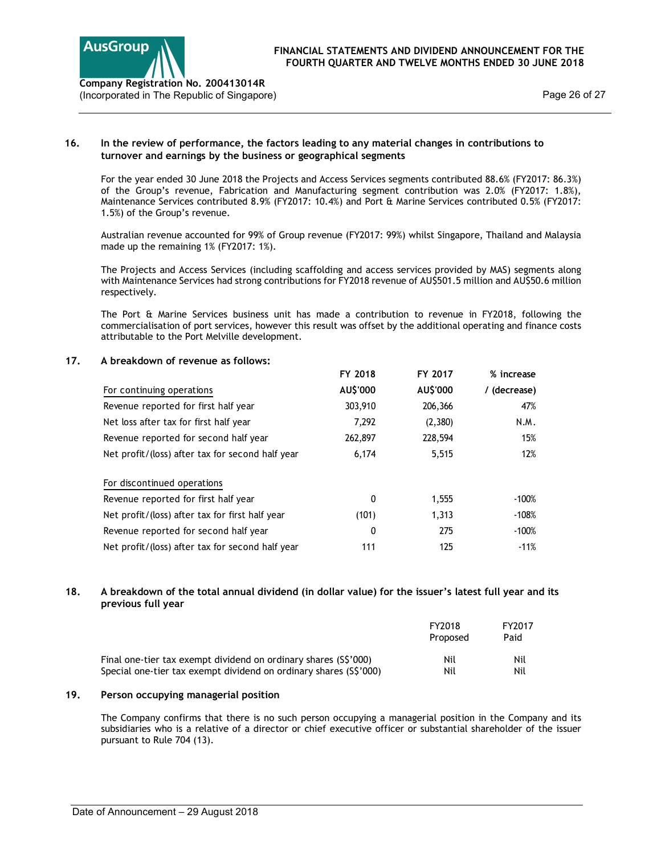

## 16. In the review of performance, the factors leading to any material changes in contributions to turnover and earnings by the business or geographical segments

## 17. A breakdown of revenue as follows:

| prporated in The Republic of Singapore)                                                                                                                                                                                                                                                                                                                           |          | Page 26 of 27 |              |
|-------------------------------------------------------------------------------------------------------------------------------------------------------------------------------------------------------------------------------------------------------------------------------------------------------------------------------------------------------------------|----------|---------------|--------------|
| In the review of performance, the factors leading to any material changes in contributions to<br>turnover and earnings by the business or geographical segments                                                                                                                                                                                                   |          |               |              |
| For the year ended 30 June 2018 the Projects and Access Services segments contributed 88.6% (FY2017: 86.3%)<br>of the Group's revenue, Fabrication and Manufacturing segment contribution was 2.0% (FY2017: 1.8%),<br>Maintenance Services contributed 8.9% (FY2017: 10.4%) and Port & Marine Services contributed 0.5% (FY2017:<br>1.5%) of the Group's revenue. |          |               |              |
| Australian revenue accounted for 99% of Group revenue (FY2017: 99%) whilst Singapore, Thailand and Malaysia<br>made up the remaining 1% (FY2017: 1%).                                                                                                                                                                                                             |          |               |              |
| The Projects and Access Services (including scaffolding and access services provided by MAS) segments along<br>with Maintenance Services had strong contributions for FY2018 revenue of AU\$501.5 million and AU\$50.6 million<br>respectively.                                                                                                                   |          |               |              |
| The Port & Marine Services business unit has made a contribution to revenue in FY2018, following the<br>commercialisation of port services, however this result was offset by the additional operating and finance costs<br>attributable to the Port Melville development.                                                                                        |          |               |              |
| A breakdown of revenue as follows:                                                                                                                                                                                                                                                                                                                                |          |               |              |
|                                                                                                                                                                                                                                                                                                                                                                   | FY 2018  | FY 2017       | % increase   |
| For continuing operations                                                                                                                                                                                                                                                                                                                                         | AU\$'000 | AU\$'000      | / (decrease) |
| Revenue reported for first half year                                                                                                                                                                                                                                                                                                                              | 303,910  | 206,366       | 47%          |
| Net loss after tax for first half year                                                                                                                                                                                                                                                                                                                            | 7,292    | (2,380)       | N.M.         |
| Revenue reported for second half year                                                                                                                                                                                                                                                                                                                             | 262,897  | 228,594       | 15%          |
| Net profit/(loss) after tax for second half year                                                                                                                                                                                                                                                                                                                  | 6,174    | 5,515         | 12%          |
| For discontinued operations                                                                                                                                                                                                                                                                                                                                       |          |               |              |
| Revenue reported for first half year                                                                                                                                                                                                                                                                                                                              | 0        | 1,555         | $-100%$      |
| Net profit/(loss) after tax for first half year                                                                                                                                                                                                                                                                                                                   | (101)    | 1,313         | $-108%$      |
| Revenue reported for second half year                                                                                                                                                                                                                                                                                                                             | 0        | 275           | $-100%$      |
|                                                                                                                                                                                                                                                                                                                                                                   | 111      | 125           | $-11%$       |
| Net profit/(loss) after tax for second half year<br>A breakdown of the total annual dividend (in dollar value) for the issuer's latest full year and its<br>previous full year                                                                                                                                                                                    |          |               |              |

## 18. A breakdown of the total annual dividend (in dollar value) for the issuer's latest full year and its previous full year

|                                                                   | FY2018<br>Proposed | FY2017<br>Paid |
|-------------------------------------------------------------------|--------------------|----------------|
| Final one-tier tax exempt dividend on ordinary shares (S\$'000)   | Nil                | Nil            |
| Special one-tier tax exempt dividend on ordinary shares (S\$'000) | Nil                | Nil            |

## 19. Person occupying managerial position

The Company confirms that there is no such person occupying a managerial position in the Company and its subsidiaries who is a relative of a director or chief executive officer or substantial shareholder of the issuer pursuant to Rule 704 (13).